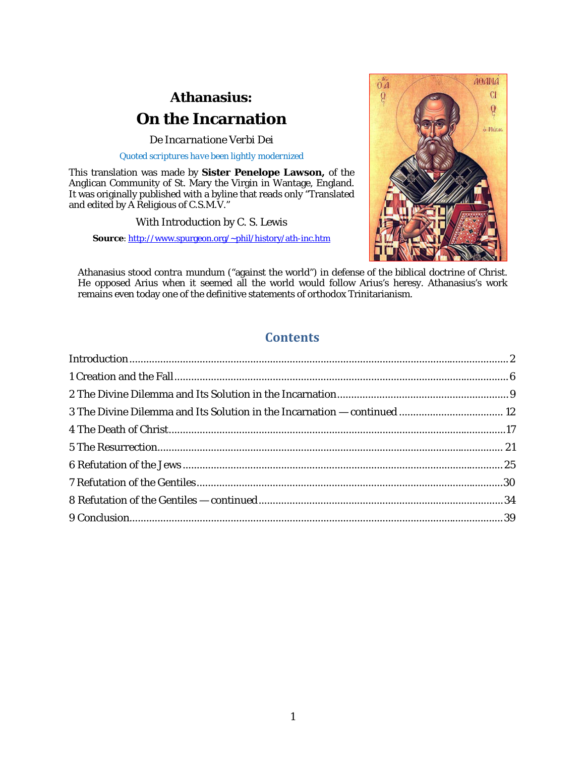# **Athanasius: On the Incarnation**

*De Incarnatione Verbi Dei* 

*Quoted scriptures have been lightly modernized* 

This translation was made by **Sister Penelope Lawson,** of the Anglican Community of St. Mary the Virgin in Wantage, England. It was originally published with a byline that reads only "Translated and edited by A Religious of C.S.M.V."

With Introduction by C. S. Lewis

**Source**: [http://www.spurgeon.org/~phil/history/ath-inc.htm](http://www.spurgeon.org/%7Ephil/history/ath-inc.htm)



Athanasius stood *contra mundum* ("against the world") in defense of the biblical doctrine of Christ. He opposed Arius when it seemed all the world would follow Arius's heresy. Athanasius's work remains even today one of the definitive statements of orthodox Trinitarianism.

# **Contents**

| 3 The Divine Dilemma and Its Solution in the Incarnation - continued 12 |  |
|-------------------------------------------------------------------------|--|
|                                                                         |  |
|                                                                         |  |
|                                                                         |  |
|                                                                         |  |
|                                                                         |  |
|                                                                         |  |
|                                                                         |  |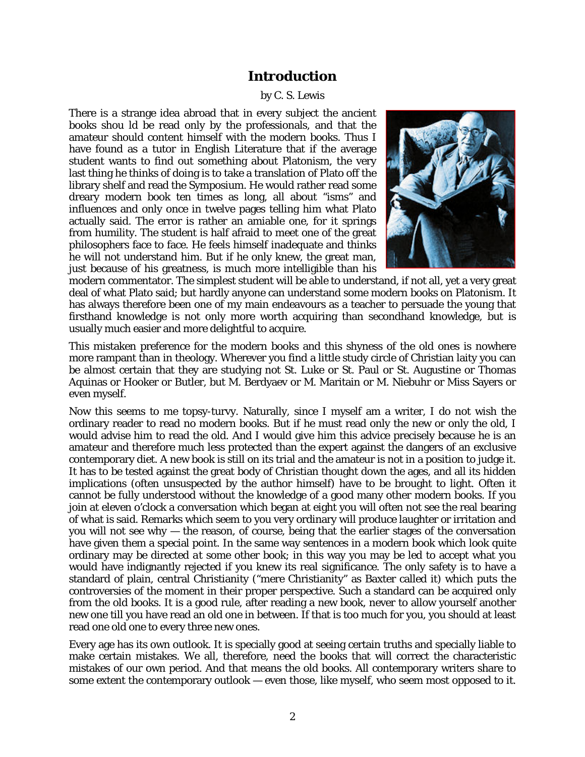# **Introduction**

#### by C. S. Lewis

<span id="page-1-0"></span>There is a strange idea abroad that in every subject the ancient books shou ld be read only by the professionals, and that the amateur should content himself with the modern books. Thus I have found as a tutor in English Literature that if the average student wants to find out something about Platonism, the very last thing he thinks of doing is to take a translation of Plato off the library shelf and read the Symposium. He would rather read some dreary modern book ten times as long, all about "isms" and influences and only once in twelve pages telling him what Plato actually said. The error is rather an amiable one, for it springs from humility. The student is half afraid to meet one of the great philosophers face to face. He feels himself inadequate and thinks he will not understand him. But if he only knew, the great man, just because of his greatness, is much more intelligible than his



modern commentator. The simplest student will be able to understand, if not all, yet a very great deal of what Plato said; but hardly anyone can understand some modern books on Platonism. It has always therefore been one of my main endeavours as a teacher to persuade the young that firsthand knowledge is not only more worth acquiring than secondhand knowledge, but is usually much easier and more delightful to acquire.

This mistaken preference for the modern books and this shyness of the old ones is nowhere more rampant than in theology. Wherever you find a little study circle of Christian laity you can be almost certain that they are studying not St. Luke or St. Paul or St. Augustine or Thomas Aquinas or Hooker or Butler, but M. Berdyaev or M. Maritain or M. Niebuhr or Miss Sayers or even myself.

Now this seems to me topsy-turvy. Naturally, since I myself am a writer, I do not wish the ordinary reader to read no modern books. But if he must read only the new or only the old, I would advise him to read the old. And I would give him this advice precisely because he is an amateur and therefore much less protected than the expert against the dangers of an exclusive contemporary diet. A new book is still on its trial and the amateur is not in a position to judge it. It has to be tested against the great body of Christian thought down the ages, and all its hidden implications (often unsuspected by the author himself) have to be brought to light. Often it cannot be fully understood without the knowledge of a good many other modern books. If you join at eleven o'clock a conversation which began at eight you will often not see the real bearing of what is said. Remarks which seem to you very ordinary will produce laughter or irritation and you will not see why — the reason, of course, being that the earlier stages of the conversation have given them a special point. In the same way sentences in a modern book which look quite ordinary may be directed *at* some other book; in this way you may be led to accept what you would have indignantly rejected if you knew its real significance. The only safety is to have a standard of plain, central Christianity ("mere Christianity" as Baxter called it) which puts the controversies of the moment in their proper perspective. Such a standard can be acquired only from the old books. It is a good rule, after reading a new book, never to allow yourself another new one till you have read an old one in between. If that is too much for you, you should at least read one old one to every three new ones.

Every age has its own outlook. It is specially good at seeing certain truths and specially liable to make certain mistakes. We all, therefore, need the books that will correct the characteristic mistakes of our own period. And that means the old books. All contemporary writers share to some extent the contemporary outlook — even those, like myself, who seem most opposed to it.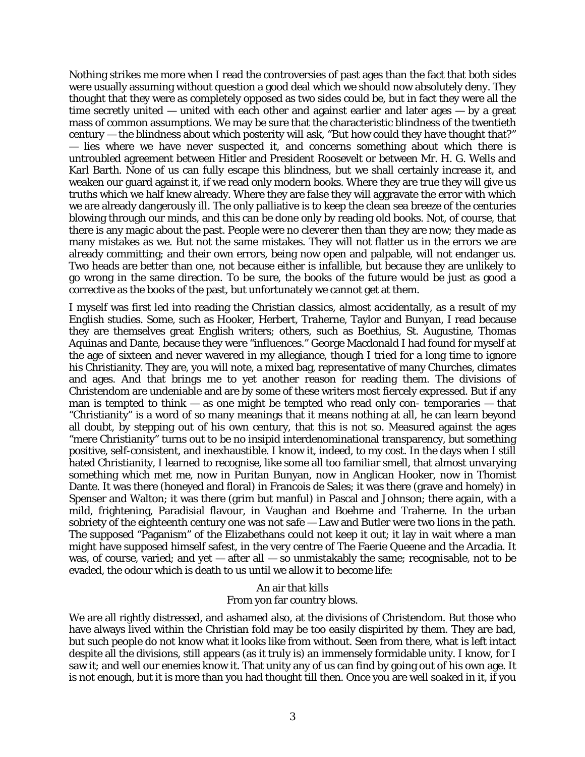Nothing strikes me more when I read the controversies of past ages than the fact that both sides were usually assuming without question a good deal which we should now absolutely deny. They thought that they were as completely opposed as two sides could be, but in fact they were all the time secretly united — united with each other and against earlier and later ages — by a great mass of common assumptions. We may be sure that the characteristic blindness of the twentieth century — the blindness about which posterity will ask, "But how could they have thought that?" — lies where we have never suspected it, and concerns something about which there is untroubled agreement between Hitler and President Roosevelt or between Mr. H. G. Wells and Karl Barth. None of us can fully escape this blindness, but we shall certainly increase it, and weaken our guard against it, if we read only modern books. Where they are true they will give us truths which we half knew already. Where they are false they will aggravate the error with which we are already dangerously ill. The only palliative is to keep the clean sea breeze of the centuries blowing through our minds, and this can be done only by reading old books. Not, of course, that there is any magic about the past. People were no cleverer then than they are now; they made as many mistakes as we. But not the same mistakes. They will not flatter us in the errors we are already committing; and their own errors, being now open and palpable, will not endanger us. Two heads are better than one, not because either is infallible, but because they are unlikely to go wrong in the same direction. To be sure, the books of the future would be just as good a corrective as the books of the past, but unfortunately we cannot get at them.

I myself was first led into reading the Christian classics, almost accidentally, as a result of my English studies. Some, such as Hooker, Herbert, Traherne, Taylor and Bunyan, I read because they are themselves great English writers; others, such as Boethius, St. Augustine, Thomas Aquinas and Dante, because they were "influences." George Macdonald I had found for myself at the age of sixteen and never wavered in my allegiance, though I tried for a long time to ignore his Christianity. They are, you will note, a mixed bag, representative of many Churches, climates and ages. And that brings me to yet another reason for reading them. The divisions of Christendom are undeniable and are by some of these writers most fiercely expressed. But if any man is tempted to think  $-$  as one might be tempted who read only con- temporaries  $-$  that "Christianity" is a word of so many meanings that it means nothing at all, he can learn beyond all doubt, by stepping out of his own century, that this is not so. Measured against the ages "mere Christianity" turns out to be no insipid interdenominational transparency, but something positive, self-consistent, and inexhaustible. I know it, indeed, to my cost. In the days when I still hated Christianity, I learned to recognise, like some all too familiar smell, that almost unvarying something which met me, now in Puritan Bunyan, now in Anglican Hooker, now in Thomist Dante. It was there (honeyed and floral) in Francois de Sales; it was there (grave and homely) in Spenser and Walton; it was there (grim but manful) in Pascal and Johnson; there again, with a mild, frightening, Paradisial flavour, in Vaughan and Boehme and Traherne. In the urban sobriety of the eighteenth century one was not safe — Law and Butler were two lions in the path. The supposed "Paganism" of the Elizabethans could not keep it out; it lay in wait where a man might have supposed himself safest, in the very centre of The Faerie Queene and the Arcadia. It was, of course, varied; and yet  $-$  after all  $-$  so unmistakably the same; recognisable, not to be evaded, the odour which is death to us until we allow it to become life:

#### An air that kills From yon far country blows.

We are all rightly distressed, and ashamed also, at the divisions of Christendom. But those who have always lived within the Christian fold may be too easily dispirited by them. They are bad, but such people do not know what it looks like from without. Seen from there, what is left intact despite all the divisions, still appears (as it truly is) an immensely formidable unity. I know, for I saw it; and well our enemies know it. That unity any of us can find by going out of his own age. It is not enough, but it is more than you had thought till then. Once you are well soaked in it, if you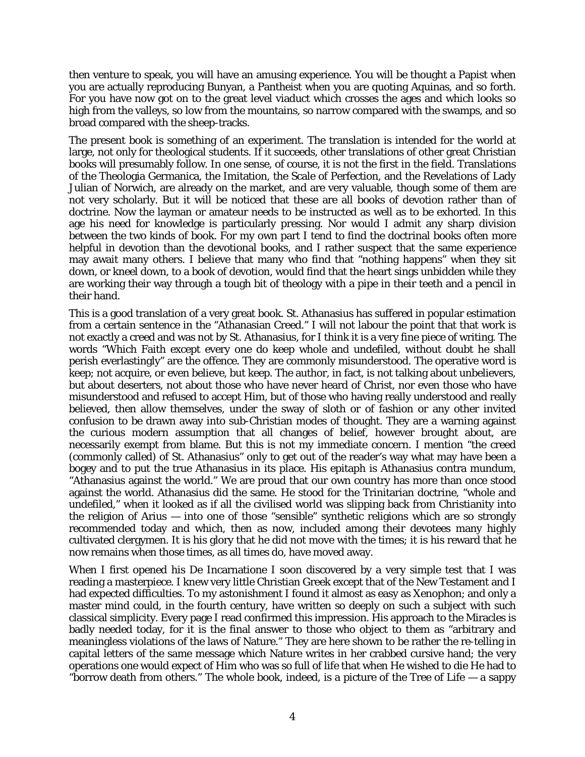then venture to speak, you will have an amusing experience. You will be thought a Papist when you are actually reproducing Bunyan, a Pantheist when you are quoting Aquinas, and so forth. For you have now got on to the great level viaduct which crosses the ages and which looks so high from the valleys, so low from the mountains, so narrow compared with the swamps, and so broad compared with the sheep-tracks.

The present book is something of an experiment. The translation is intended for the world at large, not only for theological students. If it succeeds, other translations of other great Christian books will presumably follow. In one sense, of course, it is not the first in the field. Translations of the Theologia Germanica, the Imitation, the Scale of Perfection, and the Revelations of Lady Julian of Norwich, are already on the market, and are very valuable, though some of them are not very scholarly. But it will be noticed that these are all books of devotion rather than of doctrine. Now the layman or amateur needs to be instructed as well as to be exhorted. In this age his need for knowledge is particularly pressing. Nor would I admit any sharp division between the two kinds of book. For my own part I tend to find the doctrinal books often more helpful in devotion than the devotional books, and I rather suspect that the same experience may await many others. I believe that many who find that "nothing happens" when they sit down, or kneel down, to a book of devotion, would find that the heart sings unbidden while they are working their way through a tough bit of theology with a pipe in their teeth and a pencil in their hand.

This is a good translation of a very great book. St. Athanasius has suffered in popular estimation from a certain sentence in the "Athanasian Creed." I will not labour the point that that work is not exactly a creed and was not by St. Athanasius, for I think it is a very fine piece of writing. The words "Which Faith except every one do keep whole and undefiled, without doubt he shall perish everlastingly" are the offence. They are commonly misunderstood. The operative word is keep; not acquire, or even believe, but keep. The author, in fact, is not talking about unbelievers, but about deserters, not about those who have never heard of Christ, nor even those who have misunderstood and refused to accept Him, but of those who having really understood and really believed, then allow themselves, under the sway of sloth or of fashion or any other invited confusion to be drawn away into sub-Christian modes of thought. They are a warning against the curious modern assumption that all changes of belief, however brought about, are necessarily exempt from blame. But this is not my immediate concern. I mention "the creed (commonly called) of St. Athanasius" only to get out of the reader's way what may have been a bogey and to put the true Athanasius in its place. His epitaph is Athanasius contra mundum, "Athanasius against the world." We are proud that our own country has more than once stood against the world. Athanasius did the same. He stood for the Trinitarian doctrine, "whole and undefiled," when it looked as if all the civilised world was slipping back from Christianity into the religion of Arius — into one of those "sensible" synthetic religions which are so strongly recommended today and which, then as now, included among their devotees many highly cultivated clergymen. It is his glory that he did not move with the times; it is his reward that he now remains when those times, as all times do, have moved away.

When I first opened his De Incarnatione I soon discovered by a very simple test that I was reading a masterpiece. I knew very little Christian Greek except that of the New Testament and I had expected difficulties. To my astonishment I found it almost as easy as Xenophon; and only a master mind could, in the fourth century, have written so deeply on such a subject with such classical simplicity. Every page I read confirmed this impression. His approach to the Miracles is badly needed today, for it is the final answer to those who object to them as "arbitrary and meaningless violations of the laws of Nature." They are here shown to be rather the re-telling in capital letters of the same message which Nature writes in her crabbed cursive hand; the very operations one would expect of Him who was so full of life that when He wished to die He had to "borrow death from others." The whole book, indeed, is a picture of the Tree of Life  $-$  a sappy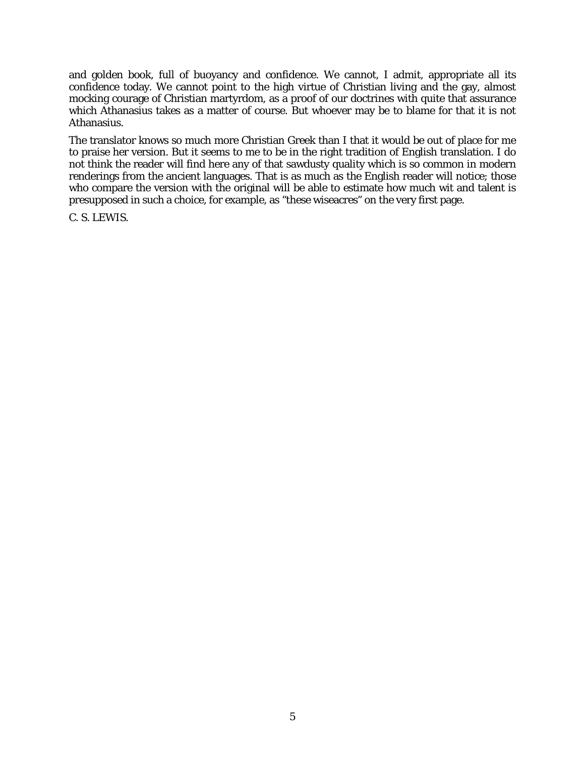and golden book, full of buoyancy and confidence. We cannot, I admit, appropriate all its confidence today. We cannot point to the high virtue of Christian living and the gay, almost mocking courage of Christian martyrdom, as a proof of our doctrines with quite that assurance which Athanasius takes as a matter of course. But whoever may be to blame for that it is not Athanasius.

The translator knows so much more Christian Greek than I that it would be out of place for me to praise her version. But it seems to me to be in the right tradition of English translation. I do not think the reader will find here any of that sawdusty quality which is so common in modern renderings from the ancient languages. That is as much as the English reader will notice; those who compare the version with the original will be able to estimate how much wit and talent is presupposed in such a choice, for example, as "these wiseacres" on the very first page.

C. S. LEWIS.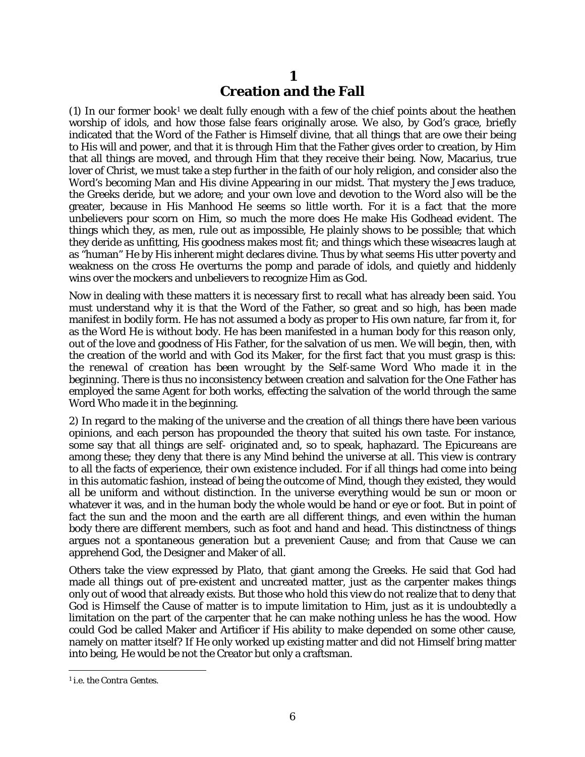### **1 Creation and the Fall**

<span id="page-5-0"></span>([1](#page-5-1)) In our former book<sup>1</sup> we dealt fully enough with a few of the chief points about the heathen worship of idols, and how those false fears originally arose. We also, by God's grace, briefly indicated that the Word of the Father is Himself divine, that all things that are owe their being to His will and power, and that it is through Him that the Father gives order to creation, by Him that all things are moved, and through Him that they receive their being. Now, Macarius, true lover of Christ, we must take a step further in the faith of our holy religion, and consider also the Word's becoming Man and His divine Appearing in our midst. That mystery the Jews traduce, the Greeks deride, but we adore; and your own love and devotion to the Word also will be the greater, because in His Manhood He seems so little worth. For it is a fact that the more unbelievers pour scorn on Him, so much the more does He make His Godhead evident. The things which they, as men, rule out as impossible, He plainly shows to be possible; that which they deride as unfitting, His goodness makes most fit; and things which these wiseacres laugh at as "human" He by His inherent might declares divine. Thus by what seems His utter poverty and weakness on the cross He overturns the pomp and parade of idols, and quietly and hiddenly wins over the mockers and unbelievers to recognize Him as God.

Now in dealing with these matters it is necessary first to recall what has already been said. You must understand why it is that the Word of the Father, so great and so high, has been made manifest in bodily form. He has not assumed a body as proper to His own nature, far from it, for as the Word He is without body. He has been manifested in a human body for this reason only, out of the love and goodness of His Father, for the salvation of us men. We will begin, then, with the creation of the world and with God its Maker, for the first fact that you must grasp is this: *the renewal of creation has been wrought by the Self-same Word Who made it in the beginning.* There is thus no inconsistency between creation and salvation for the One Father has employed the same Agent for both works, effecting the salvation of the world through the same Word Who made it in the beginning.

2) In regard to the making of the universe and the creation of all things there have been various opinions, and each person has propounded the theory that suited his own taste. For instance, some say that all things are self- originated and, so to speak, haphazard. The Epicureans are among these; they deny that there is any Mind behind the universe at all. This view is contrary to all the facts of experience, their own existence included. For if all things had come into being in this automatic fashion, instead of being the outcome of Mind, though they existed, they would all be uniform and without distinction. In the universe everything would be sun or moon or whatever it was, and in the human body the whole would be hand or eye or foot. But in point of fact the sun and the moon and the earth are all different things, and even within the human body there are different members, such as foot and hand and head. This distinctness of things argues not a spontaneous generation but a prevenient Cause; and from that Cause we can apprehend God, the Designer and Maker of all.

Others take the view expressed by Plato, that giant among the Greeks. He said that God had made all things out of pre-existent and uncreated matter, just as the carpenter makes things only out of wood that already exists. But those who hold this view do not realize that to deny that God is Himself the Cause of matter is to impute limitation to Him, just as it is undoubtedly a limitation on the part of the carpenter that he can make nothing unless he has the wood. How could God be called Maker and Artificer if His ability to make depended on some other cause, namely on matter itself? If He only worked up existing matter and did not Himself bring matter into being, He would be not the Creator but only a craftsman.

 $\ddot{\phantom{a}}$ 

<span id="page-5-1"></span><sup>1</sup> i.e. the *Contra Gentes.*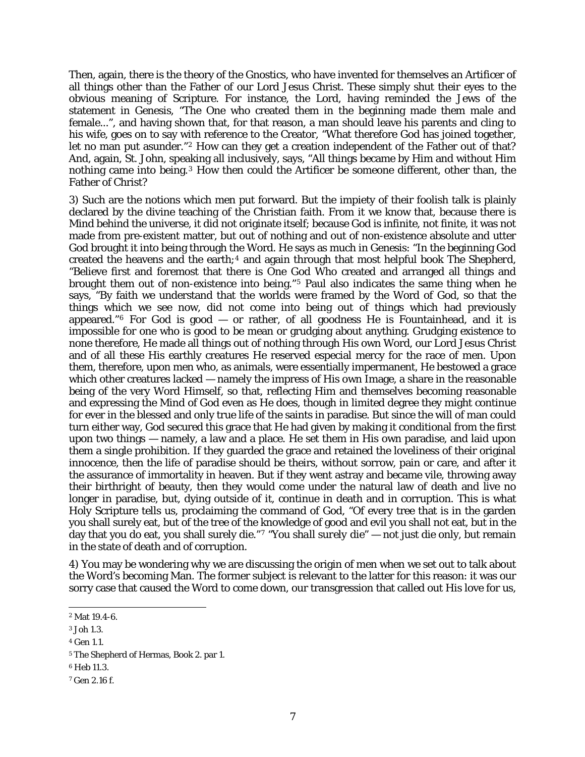Then, again, there is the theory of the Gnostics, who have invented for themselves an Artificer of all things other than the Father of our Lord Jesus Christ. These simply shut their eyes to the obvious meaning of Scripture. For instance, the Lord, having reminded the Jews of the statement in Genesis, "The One who created them in the beginning made them male and female...", and having shown that, for that reason, a man should leave his parents and cling to his wife, goes on to say with reference to the Creator, "What therefore *God* has joined together, let no man put asunder."<sup>[2](#page-6-0)</sup> How can they get a creation independent of the Father out of that? And, again, St. John, speaking all inclusively, says, "All things became by Him and without Him nothing came into being.[3](#page-6-1) How then could the Artificer be someone different, other than, the Father of Christ?

3) Such are the notions which men put forward. But the impiety of their foolish talk is plainly declared by the divine teaching of the Christian faith. From it we know that, because there is Mind behind the universe, it did not originate itself; because God is infinite, not finite, it was not made from pre-existent matter, but out of nothing and out of non-existence absolute and utter God brought it into being through the Word. He says as much in Genesis: "In the beginning God created the heavens and the earth;[4](#page-6-2) and again through that most helpful book *The Shepherd,* "Believe first and foremost that there is One God Who created and arranged all things and brought them out of non-existence into being."[5](#page-6-3) Paul also indicates the same thing when he says, "By faith we understand that the worlds were framed by the Word of God, so that the things which we see now, did not come into being out of things which had previously appeared." $6$  For God is good  $-$  or rather, of all goodness He is Fountainhead, and it is impossible for one who is good to be mean or grudging about anything. Grudging existence to none therefore, He made all things out of nothing through His own Word, our Lord Jesus Christ and of all these His earthly creatures He reserved especial mercy for the race of men. Upon them, therefore, upon men who, as animals, were essentially impermanent, He bestowed a grace which other creatures lacked — namely the impress of His own Image, a share in the reasonable being of the very Word Himself, so that, reflecting Him and themselves becoming reasonable and expressing the Mind of God even as He does, though in limited degree they might continue for ever in the blessed and only true life of the saints in paradise. But since the will of man could turn either way, God secured this grace that He had given by making it conditional from the first upon two things — namely, a law and a place. He set them in His own paradise, and laid upon them a single prohibition. If they guarded the grace and retained the loveliness of their original innocence, then the life of paradise should be theirs, without sorrow, pain or care, and after it the assurance of immortality in heaven. But if they went astray and became vile, throwing away their birthright of beauty, then they would come under the natural law of death and live no longer in paradise, but, dying outside of it, continue in death and in corruption. This is what Holy Scripture tells us, proclaiming the command of God, "Of every tree that is in the garden you shall surely eat, but of the tree of the knowledge of good and evil you shall not eat, but in the day that you do eat, you shall surely die."[7](#page-6-5) *"You shall surely die"* — not just die only, but remain in the state of death and of corruption.

4) You may be wondering why we are discussing the origin of men when we set out to talk about the Word's becoming Man. The former subject is relevant to the latter for this reason: it was our sorry case that caused the Word to come down, our transgression that called out His love for us,

<u>.</u>

<span id="page-6-0"></span><sup>2</sup> Mat 19.4-6.

<span id="page-6-1"></span><sup>3</sup> Joh 1.3.

<span id="page-6-2"></span><sup>4</sup> Gen 1.1.

<span id="page-6-3"></span><sup>5</sup> The Shepherd of Hermas, Book 2. par 1.

<span id="page-6-4"></span><sup>6</sup> Heb 11.3.

<span id="page-6-5"></span><sup>7</sup> Gen 2.16 f.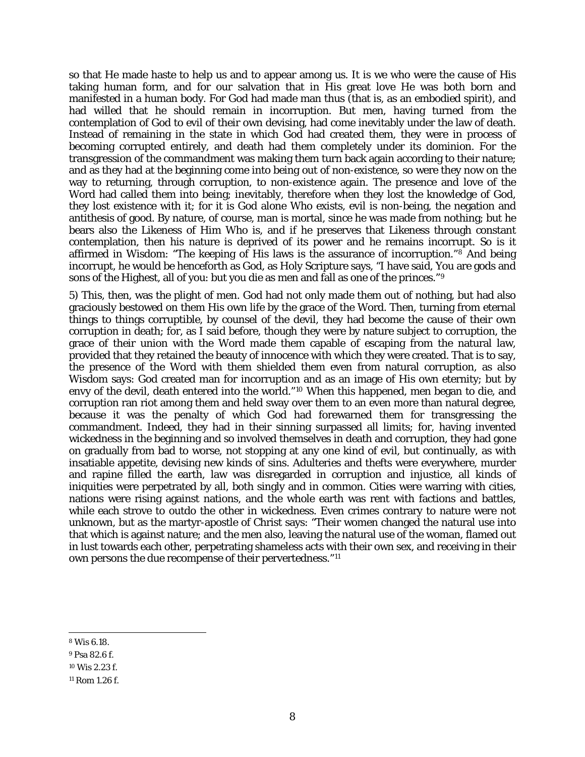so that He made haste to help us and to appear among us. It is we who were the cause of His taking human form, and for our salvation that in His great love He was both born and manifested in a human body. For God had made man thus (that is, as an embodied spirit), and had willed that he should remain in incorruption. But men, having turned from the contemplation of God to evil of their own devising, had come inevitably under the law of death. Instead of remaining in the state in which God had created them, they were in process of becoming corrupted entirely, and death had them completely under its dominion. For the transgression of the commandment was making them turn back again according to their nature; and as they had at the beginning come into being out of non-existence, so were they now on the way to returning, through corruption, to non-existence again. The presence and love of the Word had called them into being; inevitably, therefore when they lost the knowledge of God, they lost existence with it; for it is God alone Who exists, evil is non-being, the negation and antithesis of good. By nature, of course, man is mortal, since he was made from nothing; but he bears also the Likeness of Him Who is, and if he preserves that Likeness through constant contemplation, then his nature is deprived of its power and he remains incorrupt. So is it affirmed in Wisdom: "The keeping of His laws is the assurance of incorruption."[8](#page-7-0) And being incorrupt, he would be henceforth as God, as Holy Scripture says, "I have said, You are gods and sons of the Highest, all of you: but you die as men and fall as one of the princes."[9](#page-7-1)

5) This, then, was the plight of men. God had not only made them out of nothing, but had also graciously bestowed on them His own life by the grace of the Word. Then, turning from eternal things to things corruptible, by counsel of the devil, they had become the cause of their own corruption in death; for, as I said before, though they were by nature subject to corruption, the grace of their union with the Word made them capable of escaping from the natural law, provided that they retained the beauty of innocence with which they were created. That is to say, the presence of the Word with them shielded them even from natural corruption, as also Wisdom says: God created man for incorruption and as an image of His own eternity; but by envy of the devil, death entered into the world."[10](#page-7-2) When this happened, men began to die, and corruption ran riot among them and held sway over them to an even more than natural degree, because it was the penalty of which God had forewarned them for transgressing the commandment. Indeed, they had in their sinning surpassed all limits; for, having invented wickedness in the beginning and so involved themselves in death and corruption, they had gone on gradually from bad to worse, not stopping at any one kind of evil, but continually, as with insatiable appetite, devising new kinds of sins. Adulteries and thefts were everywhere, murder and rapine filled the earth, law was disregarded in corruption and injustice, all kinds of iniquities were perpetrated by all, both singly and in common. Cities were warring with cities, nations were rising against nations, and the whole earth was rent with factions and battles, while each strove to outdo the other in wickedness. Even crimes contrary to nature were not unknown, but as the martyr-apostle of Christ says: "Their women changed the natural use into that which is against nature; and the men also, leaving the natural use of the woman, flamed out in lust towards each other, perpetrating shameless acts with their own sex, and receiving in their own persons the due recompense of their pervertedness."[11](#page-7-3)

<sup>-</sup>8 Wis 6.18.

<span id="page-7-1"></span><span id="page-7-0"></span><sup>9</sup> Psa 82.6 f.

<span id="page-7-2"></span><sup>10</sup> Wis 2.23 f.

<span id="page-7-3"></span><sup>11</sup> Rom 1.26 f.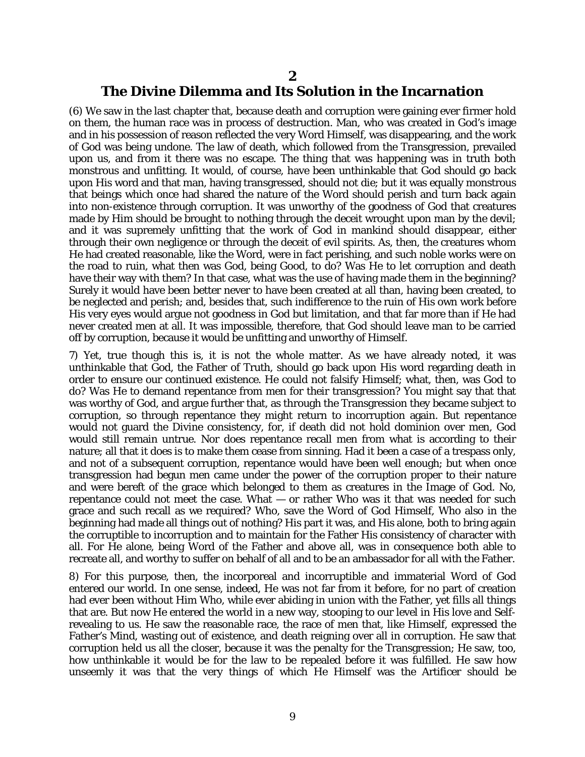# <span id="page-8-0"></span>**2 The Divine Dilemma and Its Solution in the Incarnation**

(6) We saw in the last chapter that, because death and corruption were gaining ever firmer hold on them, the human race was in process of destruction. Man, who was created in God's image and in his possession of reason reflected the very Word Himself, was disappearing, and the work of God was being undone. The law of death, which followed from the Transgression, prevailed upon us, and from it there was no escape. The thing that was happening was in truth both monstrous and unfitting. It would, of course, have been unthinkable that God should go back upon His word and that man, having transgressed, should not die; but it was equally monstrous that beings which once had shared the nature of the Word should perish and turn back again into non-existence through corruption. It was unworthy of the goodness of God that creatures made by Him should be brought to nothing through the deceit wrought upon man by the devil; and it was supremely unfitting that the work of God in mankind should disappear, either through their own negligence or through the deceit of evil spirits. As, then, the creatures whom He had created reasonable, like the Word, were in fact perishing, and such noble works were on the road to ruin, what then was God, being Good, to do? Was He to let corruption and death have their way with them? In that case, what was the use of having made them in the beginning? Surely it would have been better never to have been created at all than, having been created, to be neglected and perish; and, besides that, such indifference to the ruin of His own work before His very eyes would argue not goodness in God but limitation, and that far more than if He had never created men at all. It was impossible, therefore, that God should leave man to be carried off by corruption, because it would be unfitting and unworthy of Himself.

7) Yet, true though this is, it is not the whole matter. As we have already noted, it was unthinkable that God, the Father of Truth, should go back upon His word regarding death in order to ensure our continued existence. He could not falsify Himself; what, then, was God to do? Was He to demand repentance from men for their transgression? You might say that that was worthy of God, and argue further that, as through the Transgression they became subject to corruption, so through repentance they might return to incorruption again. But repentance would not guard the Divine consistency, for, if death did not hold dominion over men, God would still remain untrue. Nor does repentance recall men from what is according to their nature; all that it does is to make them cease from sinning. Had it been a case of a trespass only, and not of a subsequent corruption, repentance would have been well enough; but when once transgression had begun men came under the power of the corruption proper to their nature and were bereft of the grace which belonged to them as creatures in the Image of God. No, repentance could not meet the case. What — or rather *Who* was it that was needed for such grace and such recall as we required? Who, save the Word of God Himself, Who also in the beginning had made all things out of nothing? His part it was, and His alone, both to bring again the corruptible to incorruption and to maintain for the Father His consistency of character with all. For He alone, being Word of the Father and above all, was in consequence both able to recreate all, and worthy to suffer on behalf of all and to be an ambassador for all with the Father.

8) For this purpose, then, the incorporeal and incorruptible and immaterial Word of God entered our world. In one sense, indeed, He was not far from it before, for no part of creation had ever been without Him Who, while ever abiding in union with the Father, yet fills all things that are. But now He entered the world in a new way, stooping to our level in His love and Selfrevealing to us. He saw the reasonable race, the race of men that, like Himself, expressed the Father's Mind, wasting out of existence, and death reigning over all in corruption. He saw that corruption held us all the closer, because it was the penalty for the Transgression; He saw, too, how unthinkable it would be for the law to be repealed before it was fulfilled. He saw how unseemly it was that the very things of which He Himself was the Artificer should be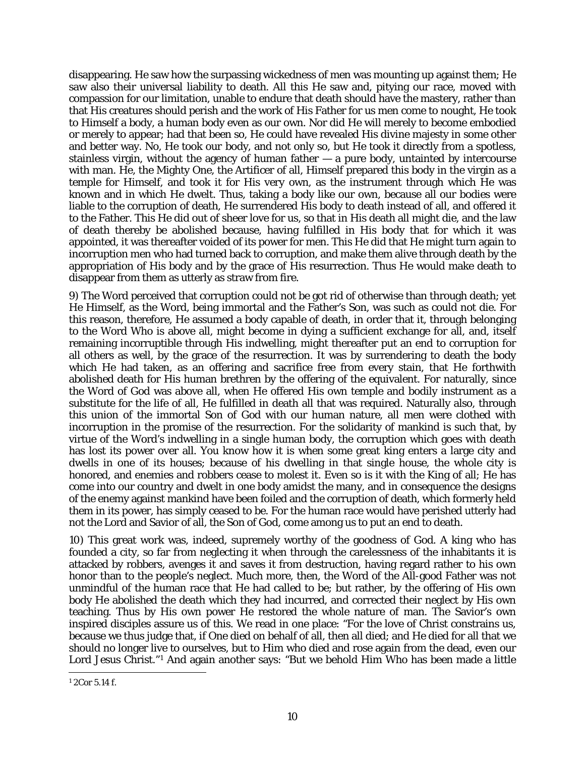disappearing. He saw how the surpassing wickedness of men was mounting up against them; He saw also their universal liability to death. All this He saw and, pitying our race, moved with compassion for our limitation, unable to endure that death should have the mastery, rather than that His creatures should perish and the work of His Father for us men come to nought, He took to Himself a body, a human body even as our own. Nor did He will merely to become embodied or merely to appear; had that been so, He could have revealed His divine majesty in some other and better way. No, He took *our* body, and not only so, but He took it directly from a spotless, stainless virgin, without the agency of human father  $-$  a pure body, untainted by intercourse with man. He, the Mighty One, the Artificer of all, Himself prepared this body in the virgin as a temple for Himself, and took it for His very own, as the instrument through which He was known and in which He dwelt. Thus, taking a body like our own, because all our bodies were liable to the corruption of death, He surrendered His body to death instead of all, and offered it to the Father. This He did out of sheer love for us, so that in His death all might die, and the law of death thereby be abolished because, having fulfilled in His body that for which it was appointed, it was thereafter voided of its power for men. This He did that He might turn again to incorruption men who had turned back to corruption, and make them alive through death by the appropriation of His body and by the grace of His resurrection. Thus He would make death to disappear from them as utterly as straw from fire.

9) The Word perceived that corruption could not be got rid of otherwise than through death; yet He Himself, as the Word, being immortal and the Father's Son, was such as could not die. For this reason, therefore, He assumed a body capable of death, in order that it, through belonging to the Word Who is above all, might become in dying a sufficient exchange for all, and, itself remaining incorruptible through His indwelling, might thereafter put an end to corruption for all others as well, by the grace of the resurrection. It was by surrendering to death the body which He had taken, as an offering and sacrifice free from every stain, that He forthwith abolished death for His human brethren by the offering of the equivalent. For naturally, since the Word of God was above all, when He offered His own temple and bodily instrument as a substitute for the life of all, He fulfilled in death all that was required. Naturally also, through this union of the immortal Son of God with our human nature, all men were clothed with incorruption in the promise of the resurrection. For the solidarity of mankind is such that, by virtue of the Word's indwelling in a single human body, the corruption which goes with death has lost its power over all. You know how it is when some great king enters a large city and dwells in one of its houses; because of his dwelling in that single house, the whole city is honored, and enemies and robbers cease to molest it. Even so is it with the King of all; He has come into our country and dwelt in one body amidst the many, and in consequence the designs of the enemy against mankind have been foiled and the corruption of death, which formerly held them in its power, has simply ceased to be. For the human race would have perished utterly had not the Lord and Savior of all, the Son of God, come among us to put an end to death.

10) This great work was, indeed, supremely worthy of the goodness of God. A king who has founded a city, so far from neglecting it when through the carelessness of the inhabitants it is attacked by robbers, avenges it and saves it from destruction, having regard rather to his own honor than to the people's neglect. Much more, then, the Word of the All-good Father was not unmindful of the human race that He had called to be; but rather, by the offering of His own body He abolished the death which they had incurred, and corrected their neglect by His own teaching. Thus by His own power He restored the whole nature of man. The Savior's own inspired disciples assure us of this. We read in one place: "For the love of Christ constrains us, because we thus judge that, if One died on behalf of all, then all died; and He died for all that we should no longer live to ourselves, but to Him who died and rose again from the dead, even our Lord Jesus Christ.["1](#page-9-0) And again another says: "But we behold Him Who has been made a little

<span id="page-9-0"></span> $\overline{a}$ 1 2Cor 5.14 f.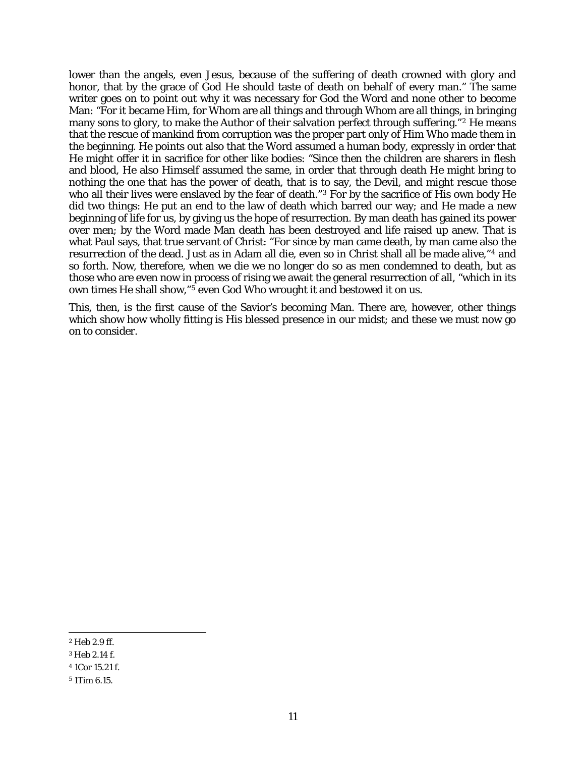lower than the angels, even Jesus, because of the suffering of death crowned with glory and honor, that by the grace of God He should taste of death on behalf of every man." The same writer goes on to point out why it was necessary for God the Word and none other to become Man: "For it became Him, for Whom are all things and through Whom are all things, in bringing many sons to glory, to make the Author of their salvation perfect through suffering."<sup>[2](#page-10-0)</sup> He means that the rescue of mankind from corruption was the proper part only of Him Who made them in the beginning. He points out also that the Word assumed a human body, expressly in order that He might offer it in sacrifice for other like bodies: "Since then the children are sharers in flesh and blood, He also Himself assumed the same, in order that through death He might bring to nothing the one that has the power of death, that is to say, the Devil, and might rescue those who all their lives were enslaved by the fear of death."<sup>[3](#page-10-1)</sup> For by the sacrifice of His own body He did two things: He put an end to the law of death which barred our way; and He made a new beginning of life for us, by giving us the hope of resurrection. By man death has gained its power over men; by the Word made Man death has been destroyed and life raised up anew. That is what Paul says, that true servant of Christ: "For since by man came death, by man came also the resurrection of the dead. Just as in Adam all die, even so in Christ shall all be made alive,"[4](#page-10-2) and so forth. Now, therefore, when we die we no longer do so as men condemned to death, but as those who are even now in process of rising we await the general resurrection of all, "which in its own times He shall show,"<sup>[5](#page-10-3)</sup> even God Who wrought it and bestowed it on us.

This, then, is the first cause of the Savior's becoming Man. There are, however, other things which show how wholly fitting is His blessed presence in our midst; and these we must now go on to consider.

-

<span id="page-10-0"></span><sup>2</sup> Heb 2.9 ff.

<span id="page-10-1"></span><sup>3</sup> Heb 2.14 f.

<span id="page-10-2"></span><sup>4 1</sup>Cor 15.21 f.

<span id="page-10-3"></span><sup>5 1</sup>Tim 6.15.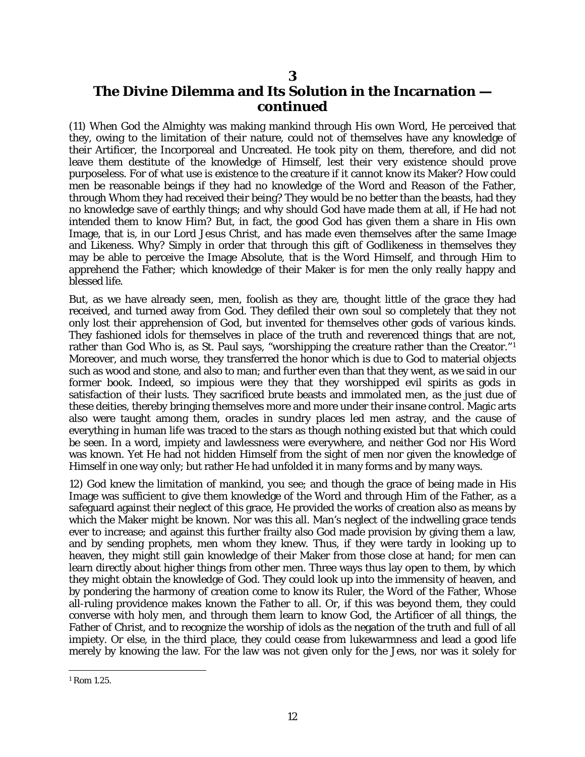# <span id="page-11-0"></span>**3 The Divine Dilemma and Its Solution in the Incarnation**  *continued*

(11) When God the Almighty was making mankind through His own Word, He perceived that they, owing to the limitation of their nature, could not of themselves have any knowledge of their Artificer, the Incorporeal and Uncreated. He took pity on them, therefore, and did not leave them destitute of the knowledge of Himself, lest their very existence should prove purposeless. For of what use is existence to the creature if it cannot know its Maker? How could men be reasonable beings if they had no knowledge of the Word and Reason of the Father, through Whom they had received their being? They would be no better than the beasts, had they no knowledge save of earthly things; and why should God have made them at all, if He had not intended them to know Him? But, in fact, the good God has given them a share in His own Image, that is, in our Lord Jesus Christ, and has made even themselves after the same Image and Likeness. Why? Simply in order that through this gift of Godlikeness in themselves they may be able to perceive the Image Absolute, that is the Word Himself, and through Him to apprehend the Father; which knowledge of their Maker is for men the only really happy and blessed life.

But, as we have already seen, men, foolish as they are, thought little of the grace they had received, and turned away from God. They defiled their own soul so completely that they not only lost their apprehension of God, but invented for themselves other gods of various kinds. They fashioned idols for themselves in place of the truth and reverenced things that are not, rather than God Who is, as St. Paul says, "worshipping the creature rather than the Creator."[1](#page-11-1) Moreover, and much worse, they transferred the honor which is due to God to material objects such as wood and stone, and also to man; and further even than that they went, as we said in our former book. Indeed, so impious were they that they worshipped evil spirits as gods in satisfaction of their lusts. They sacrificed brute beasts and immolated men, as the just due of these deities, thereby bringing themselves more and more under their insane control. Magic arts also were taught among them, oracles in sundry places led men astray, and the cause of everything in human life was traced to the stars as though nothing existed but that which could be seen. In a word, impiety and lawlessness were everywhere, and neither God nor His Word was known. Yet He had not hidden Himself from the sight of men nor given the knowledge of Himself in one way only; but rather He had unfolded it in many forms and by many ways.

12) God knew the limitation of mankind, you see; and though the grace of being made in His Image was sufficient to give them knowledge of the Word and through Him of the Father, as a safeguard against their neglect of this grace, He provided the works of creation also as means by which the Maker might be known. Nor was this all. Man's neglect of the indwelling grace tends ever to increase; and against this further frailty also God made provision by giving them a law, and by sending prophets, men whom they knew. Thus, if they were tardy in looking up to heaven, they might still gain knowledge of their Maker from those close at hand; for men can learn directly about higher things from other men. Three ways thus lay open to them, by which they might obtain the knowledge of God. They could look up into the immensity of heaven, and by pondering the harmony of creation come to know its Ruler, the Word of the Father, Whose all-ruling providence makes known the Father to all. Or, if this was beyond them, they could converse with holy men, and through them learn to know God, the Artificer of all things, the Father of Christ, and to recognize the worship of idols as the negation of the truth and full of all impiety. Or else, in the third place, they could cease from lukewarmness and lead a good life merely by knowing the law. For the law was not given only for the Jews, nor was it solely for

-

<span id="page-11-1"></span><sup>1</sup> Rom 1.25.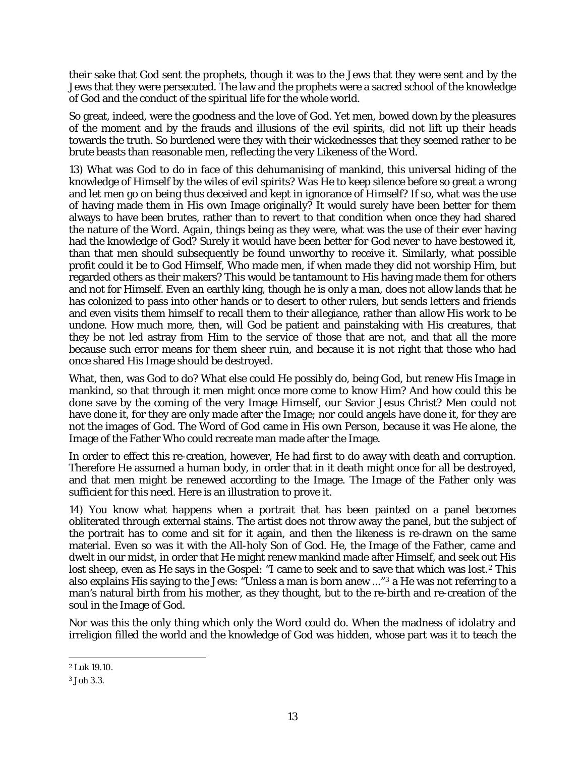their sake that God sent the prophets, though it was to the Jews that they were sent and by the Jews that they were persecuted. The law and the prophets were a sacred school of the knowledge of God and the conduct of the spiritual life for the whole world.

So great, indeed, were the goodness and the love of God. Yet men, bowed down by the pleasures of the moment and by the frauds and illusions of the evil spirits, did not lift up their heads towards the truth. So burdened were they with their wickednesses that they seemed rather to be brute beasts than reasonable men, reflecting the very Likeness of the Word.

13) What was God to do in face of this dehumanising of mankind, this universal hiding of the knowledge of Himself by the wiles of evil spirits? Was He to keep silence before so great a wrong and let men go on being thus deceived and kept in ignorance of Himself? If so, what was the use of having made them in His own Image originally? It would surely have been better for them always to have been brutes, rather than to revert to that condition when once they had shared the nature of the Word. Again, things being as they were, what was the use of their ever having had the knowledge of God? Surely it would have been better for God never to have bestowed it, than that men should subsequently be found unworthy to receive it. Similarly, what possible profit could it be to God Himself, Who made men, if when made they did not worship Him, but regarded others as their makers? This would be tantamount to His having made them for others and not for Himself. Even an earthly king, though he is only a man, does not allow lands that he has colonized to pass into other hands or to desert to other rulers, but sends letters and friends and even visits them himself to recall them to their allegiance, rather than allow His work to be undone. How much more, then, will God be patient and painstaking with His creatures, that they be not led astray from Him to the service of those that are not, and that all the more because such error means for them sheer ruin, and because it is not right that those who had once shared His Image should be destroyed.

What, then, was God to do? What else could He possibly do, being God, but renew His Image in mankind, so that through it men might once more come to know Him? And how could this be done save by the coming of the very Image Himself, our Savior Jesus Christ? Men could not have done it, for they are only made after the Image; nor could angels have done it, for they are not the images of God. The Word of God came in His own Person, because it was He alone, the Image of the Father Who could recreate man made after the Image.

In order to effect this re-creation, however, He had first to do away with death and corruption. Therefore He assumed a human body, in order that in it death might once for all be destroyed, and that men might be renewed according to the Image. The Image of the Father only was sufficient for this need. Here is an illustration to prove it.

14) You know what happens when a portrait that has been painted on a panel becomes obliterated through external stains. The artist does not throw away the panel, but the subject of the portrait has to come and sit for it again, and then the likeness is re-drawn on the same material. Even so was it with the All-holy Son of God. He, the Image of the Father, came and dwelt in our midst, in order that He might renew mankind made after Himself, and seek out His lost sheep, even as He says in the Gospel: "I came to seek and to save that which was lost.<sup>[2](#page-12-0)</sup> This also explains His saying to the Jews: "Unless a man is born anew ..."[3](#page-12-1) a He was not referring to a man's natural birth from his mother, as they thought, but to the re-birth and re-creation of the soul in the Image of God.

Nor was this the only thing which only the Word could do. When the madness of idolatry and irreligion filled the world and the knowledge of God was hidden, whose part was it to teach the

<span id="page-12-0"></span><sup>&</sup>lt;u>.</u> 2 Luk 19.10.

<span id="page-12-1"></span><sup>3</sup> Joh 3.3.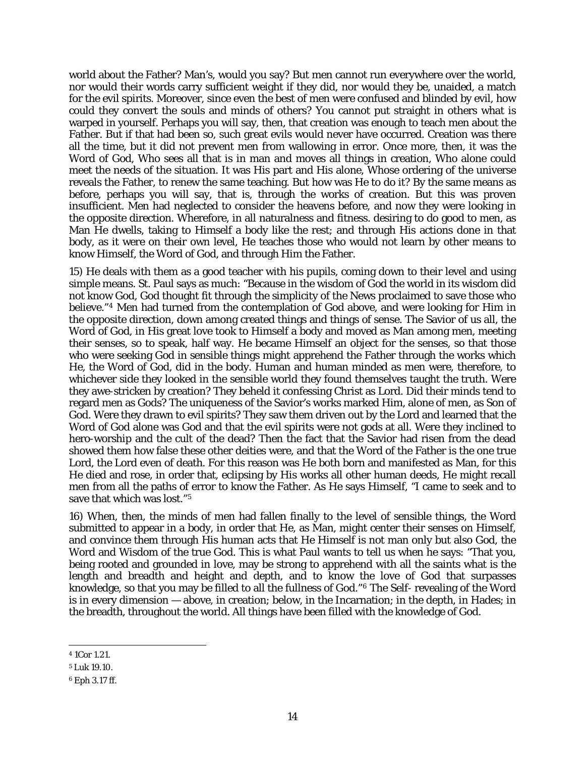world about the Father? Man's, would you say? But men cannot run everywhere over the world, nor would their words carry sufficient weight if they did, nor would they be, unaided, a match for the evil spirits. Moreover, since even the best of men were confused and blinded by evil, how could they convert the souls and minds of others? You cannot put straight in others what is warped in yourself. Perhaps you will say, then, that creation was enough to teach men about the Father. But if that had been so, such great evils would never have occurred. Creation was there all the time, but it did not prevent men from wallowing in error. Once more, then, it was the Word of God, Who sees all that is in man and moves all things in creation, Who alone could meet the needs of the situation. It was His part and His alone, Whose ordering of the universe reveals the Father, to renew the same teaching. But how was He to do it? By the same means as before, perhaps you will say, that is, through the works of creation. But this was proven insufficient. Men had neglected to consider the heavens before, and now they were looking in the opposite direction. Wherefore, in all naturalness and fitness. desiring to do good to men, as Man He dwells, taking to Himself a body like the rest; and through His actions done in that body, as it were on their own level, He teaches those who would not learn by other means to know Himself, the Word of God, and through Him the Father.

15) He deals with them as a good teacher with his pupils, coming down to their level and using simple means. St. Paul says as much: "Because in the wisdom of God the world in its wisdom did not know God, God thought fit through the simplicity of the News proclaimed to save those who believe."[4](#page-13-0) Men had turned from the contemplation of God above, and were looking for Him in the opposite direction, down among created things and things of sense. The Savior of us all, the Word of God, in His great love took to Himself a body and moved as Man among men, meeting their senses, so to speak, half way. He became Himself an object for the senses, so that those who were seeking God in sensible things might apprehend the Father through the works which He, the Word of God, did in the body. Human and human minded as men were, therefore, to whichever side they looked in the sensible world they found themselves taught the truth. Were they awe-stricken by creation? They beheld it confessing Christ as Lord. Did their minds tend to regard men as Gods? The uniqueness of the Savior's works marked Him, alone of men, as Son of God. Were they drawn to evil spirits? They saw them driven out by the Lord and learned that the Word of God alone was God and that the evil spirits were not gods at all. Were they inclined to hero-worship and the cult of the dead? Then the fact that the Savior had risen from the dead showed them how false these other deities were, and that the Word of the Father is the one true Lord, the Lord even of death. For this reason was He both born and manifested as Man, for this He died and rose, in order that, eclipsing by His works all other human deeds, He might recall men from all the paths of error to know the Father. As He says Himself, "I came to seek and to save that which was lost."[5](#page-13-1)

16) When, then, the minds of men had fallen finally to the level of sensible things, the Word submitted to appear in a body, in order that He, as Man, might center their senses on Himself, and convince them through His human acts that He Himself is not man only but also God, the Word and Wisdom of the true God. This is what Paul wants to tell us when he says: "That you, being rooted and grounded in love, may be strong to apprehend with all the saints what is the length and breadth and height and depth, and to know the love of God that surpasses knowledge, so that you may be filled to all the fullness of God."[6](#page-13-2) The Self- revealing of the Word is in every dimension — above, in creation; below, in the Incarnation; in the depth, in Hades; in the breadth, throughout the world. All things have been filled with the knowledge of God.

<u>.</u>

<span id="page-13-0"></span><sup>4 1</sup>Cor 1.21.

<span id="page-13-1"></span><sup>5</sup> Luk 19.10.

<span id="page-13-2"></span><sup>6</sup> Eph 3.17 ff.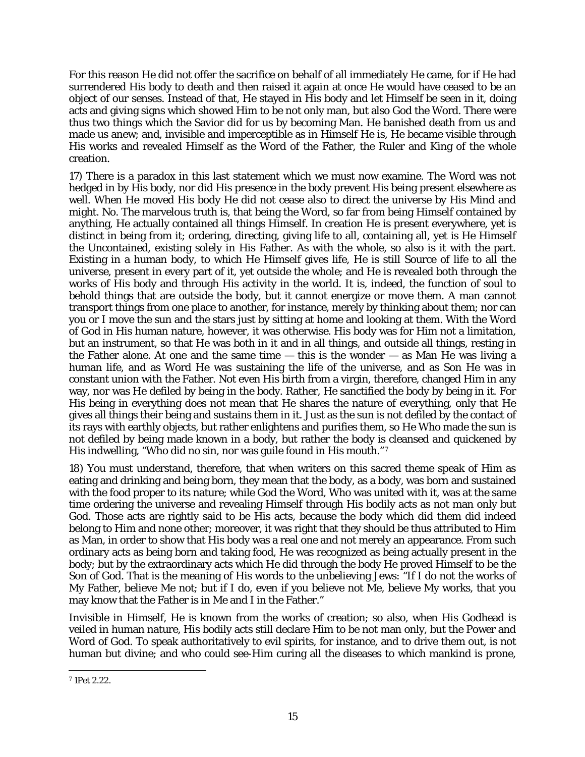For this reason He did not offer the sacrifice on behalf of all immediately He came, for if He had surrendered His body to death and then raised it again at once He would have ceased to be an object of our senses. Instead of that, He stayed in His body and let Himself be seen in it, doing acts and giving signs which showed Him to be not only man, but also God the Word. There were thus two things which the Savior did for us by becoming Man. He banished death from us and made us anew; and, invisible and imperceptible as in Himself He is, He became visible through His works and revealed Himself as the Word of the Father, the Ruler and King of the whole creation.

17) There is a paradox in this last statement which we must now examine. The Word was not hedged in by His body, nor did His presence in the body prevent His being present elsewhere as well. When He moved His body He did not cease also to direct the universe by His Mind and might. No. The marvelous truth is, that being the Word, so far from being Himself contained by anything, He actually contained all things Himself. In creation He is present everywhere, yet is distinct in being from it; ordering, directing, giving life to all, containing all, yet is He Himself the Uncontained, existing solely in His Father. As with the whole, so also is it with the part. Existing in a human body, to which He Himself gives life, He is still Source of life to all the universe, present in every part of it, yet outside the whole; and He is revealed both through the works of His body and through His activity in the world. It is, indeed, the function of soul to *behold* things that are outside the body, but it cannot energize or move them. A man cannot transport things from one place to another, for instance, merely by thinking about them; nor can you or I move the sun and the stars just by sitting at home and looking at them. With the Word of God in His human nature, however, it was otherwise. His body was for Him not a limitation, but an instrument, so that He was both in it and in all things, and outside all things, resting in the Father alone. At one and the same time  $-$  this is the wonder  $-$  as Man He was living a human life, and as Word He was sustaining the life of the universe, and as Son He was in constant union with the Father. Not even His birth from a virgin, therefore, changed Him in any way, nor was He defiled by being in the body. Rather, He sanctified the body by being in it. For His being in everything does not mean that He shares the nature of everything, only that He gives all things their being and sustains them in it. Just as the sun is not defiled by the contact of its rays with earthly objects, but rather enlightens and purifies them, so He Who made the sun is not defiled by being made known in a body, but rather the body is cleansed and quickened by His indwelling, "Who did no sin, nor was guile found in His mouth."[7](#page-14-0)

18) You must understand, therefore, that when writers on this sacred theme speak of Him as eating and drinking and being born, they mean that the body, as a body, was born and sustained with the food proper to its nature; while God the Word, Who was united with it, was at the same time ordering the universe and revealing Himself through His bodily acts as not man only but God. Those acts are rightly said to be His acts, because the body which did them did indeed belong to Him and none other; moreover, it was right that they should be thus attributed to Him as Man, in order to show that His body was a real one and not merely an appearance. From such ordinary acts as being born and taking food, He was recognized as being actually present in the body; but by the extraordinary acts which He did through the body He proved Himself to be the Son of God. That is the meaning of His words to the unbelieving Jews: "If I do not the works of My Father, believe Me not; but if I do, even if you believe not Me, believe My works, that you may know that the Father is in Me and I in the Father."

Invisible in Himself, He is known from the works of creation; so also, when His Godhead is veiled in human nature, His bodily acts still declare Him to be not man only, but the Power and Word of God. To speak authoritatively to evil spirits, for instance, and to drive them out, is not human but divine; and who could see-Him curing all the diseases to which mankind is prone,

<span id="page-14-0"></span><sup>&</sup>lt;u>.</u> 7 1Pet 2.22.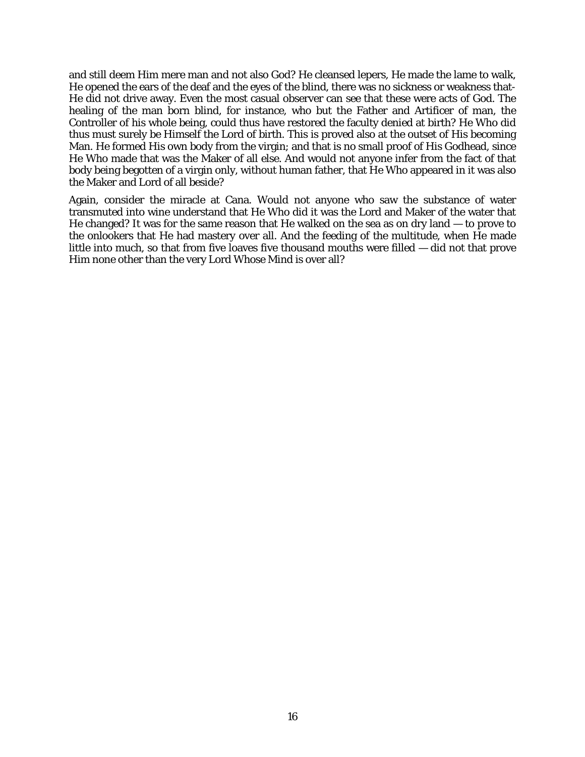and still deem Him mere man and not also God? He cleansed lepers, He made the lame to walk, He opened the ears of the deaf and the eyes of the blind, there was no sickness or weakness that-He did not drive away. Even the most casual observer can see that these were acts of God. The healing of the man born blind, for instance, who but the Father and Artificer of man, the Controller of his whole being, could thus have restored the faculty denied at birth? He Who did thus must surely be Himself the Lord of birth. This is proved also at the outset of His becoming Man. He formed His own body from the virgin; and that is no small proof of His Godhead, since He Who made that was the Maker of all else. And would not anyone infer from the fact of that body being begotten of a virgin only, without human father, that He Who appeared in it was also the Maker and Lord of all beside?

Again, consider the miracle at Cana. Would not anyone who saw the substance of water transmuted into wine understand that He Who did it was the Lord and Maker of the water that He changed? It was for the same reason that He walked on the sea as on dry land — to prove to the onlookers that He had mastery over all. And the feeding of the multitude, when He made little into much, so that from five loaves five thousand mouths were filled — did not that prove Him none other than the very Lord Whose Mind is over all?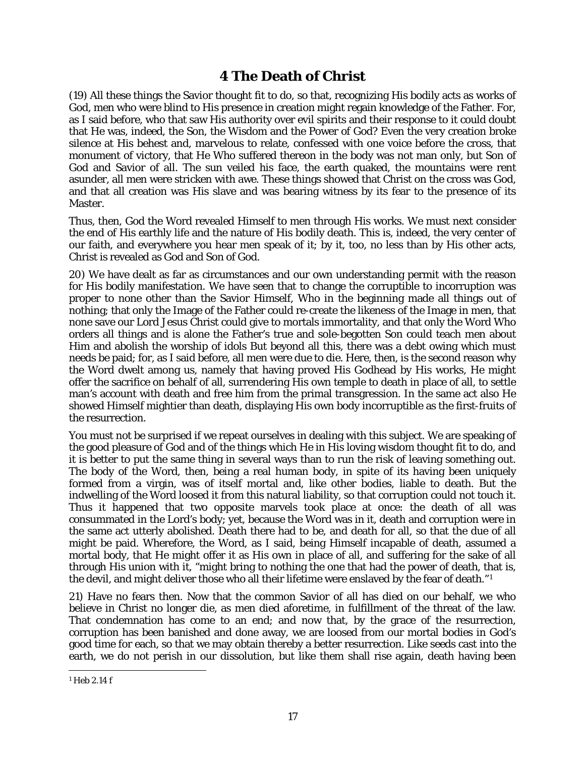# **4 The Death of Christ**

<span id="page-16-0"></span>(19) All these things the Savior thought fit to do, so that, recognizing His bodily acts as works of God, men who were blind to His presence in creation might regain knowledge of the Father. For, as I said before, who that saw His authority over evil spirits and their response to it could doubt that He was, indeed, the Son, the Wisdom and the Power of God? Even the very creation broke silence at His behest and, marvelous to relate, confessed with one voice before the cross, that monument of victory, that He Who suffered thereon in the body was not man only, but Son of God and Savior of all. The sun veiled his face, the earth quaked, the mountains were rent asunder, all men were stricken with awe. These things showed that Christ on the cross was God, and that all creation was His slave and was bearing witness by its fear to the presence of its Master.

Thus, then, God the Word revealed Himself to men through His works. We must next consider the end of His earthly life and the nature of His bodily death. This is, indeed, the very center of our faith, and everywhere you hear men speak of it; by it, too, no less than by His other acts, Christ is revealed as God and Son of God.

20) We have dealt as far as circumstances and our own understanding permit with the reason for His bodily manifestation. We have seen that to change the corruptible to incorruption was proper to none other than the Savior Himself, Who in the beginning made all things out of nothing; that only the Image of the Father could re-create the likeness of the Image in men, that none save our Lord Jesus Christ could give to mortals immortality, and that only the Word Who orders all things and is alone the Father's true and sole-begotten Son could teach men about Him and abolish the worship of idols But beyond all this, there was a debt owing which must needs be paid; for, as I said before, all men were due to die. Here, then, is the second reason why the Word dwelt among us, namely that having proved His Godhead by His works, He might offer the sacrifice on behalf of all, surrendering His own temple to death in place of all, to settle man's account with death and free him from the primal transgression. In the same act also He showed Himself mightier than death, displaying His own body incorruptible as the first-fruits of the resurrection.

You must not be surprised if we repeat ourselves in dealing with this subject. We are speaking of the good pleasure of God and of the things which He in His loving wisdom thought fit to do, and it is better to put the same thing in several ways than to run the risk of leaving something out. The body of the Word, then, being a real human body, in spite of its having been uniquely formed from a virgin, was of itself mortal and, like other bodies, liable to death. But the indwelling of the Word loosed it from this natural liability, so that corruption could not touch it. Thus it happened that two opposite marvels took place at once: the death of all was consummated in the Lord's body; yet, because the Word was in it, death and corruption were in the same act utterly abolished. Death there had to be, and death for all, so that the due of all might be paid. Wherefore, the Word, as I said, being Himself incapable of death, assumed a mortal body, that He might offer it as His own in place of all, and suffering for the sake of all through His union with it, "might bring to nothing the one that had the power of death, that is, the devil, and might deliver those who all their lifetime were enslaved by the fear of death."[1](#page-16-1)

21) Have no fears then. Now that the common Savior of all has died on our behalf, we who believe in Christ no longer die, as men died aforetime, in fulfillment of the threat of the law. That condemnation has come to an end; and now that, by the grace of the resurrection, corruption has been banished and done away, we are loosed from our mortal bodies in God's good time for each, so that we may obtain thereby a better resurrection. Like seeds cast into the earth, we do not perish in our dissolution, but like them shall rise again, death having been

 $\overline{a}$ 

<span id="page-16-1"></span><sup>1</sup> Heb 2.14 f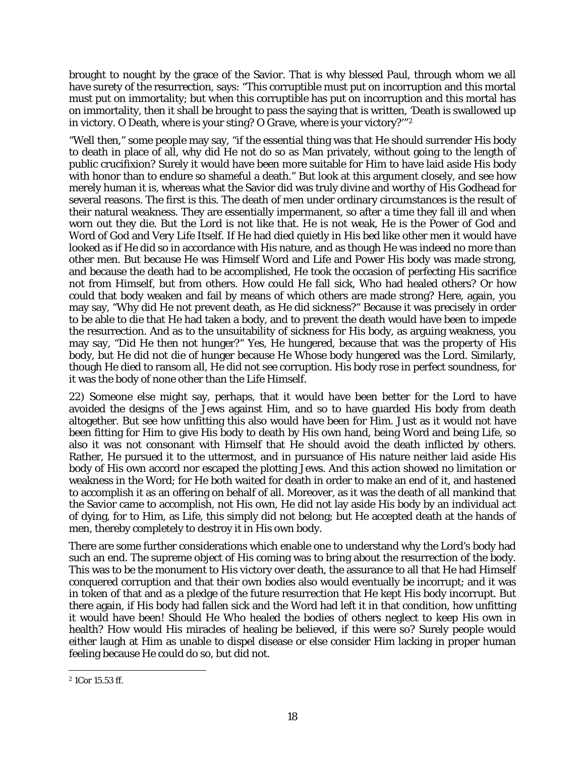brought to nought by the grace of the Savior. That is why blessed Paul, through whom we all have surety of the resurrection, says: "This corruptible must put on incorruption and this mortal must put on immortality; but when this corruptible has put on incorruption and this mortal has on immortality, then it shall be brought to pass the saying that is written, 'Death is swallowed up in victory. O Death, where is your sting? O Grave, where is your victory?'"[2](#page-17-0)

"Well then," some people may say, "if the essential thing was that He should surrender His body to death in place of all, why did He not do so as Man privately, without going to the length of public crucifixion? Surely it would have been more suitable for Him to have laid aside His body with honor than to endure so shameful a death." But look at this argument closely, and see how merely human it is, whereas what the Savior did was truly divine and worthy of His Godhead for several reasons. The first is this. The death of men under ordinary circumstances is the result of their natural weakness. They are essentially impermanent, so after a time they fall ill and when worn out they die. But the Lord is not like that. He is not weak, He is the Power of God and Word of God and Very Life Itself. If He had died quietly in His bed like other men it would have looked as if He did so in accordance with His nature, and as though He was indeed no more than other men. But because He was Himself Word and Life and Power His body was made strong, and because the death had to be accomplished, He took the occasion of perfecting His sacrifice not from Himself, but from others. How could He fall sick, Who had healed others? Or how could that body weaken and fail by means of which others are made strong? Here, again, you may say, "Why did He not prevent death, as He did sickness?" Because it was precisely in order to be able to die that He had taken a body, and to prevent the death would have been to impede the resurrection. And as to the unsuitability of sickness for His body, as arguing weakness, you may say, "Did He then not hunger?" Yes, He hungered, because that was the property of His body, but He did not die of hunger because He Whose body hungered was the Lord. Similarly, though He died to ransom all, He did not see corruption. His body rose in perfect soundness, for it was the body of none other than the Life Himself.

22) Someone else might say, perhaps, that it would have been better for the Lord to have avoided the designs of the Jews against Him, and so to have guarded His body from death altogether. But see how unfitting this also would have been for Him. Just as it would not have been fitting for Him to give His body to death by His own hand, being Word and being Life, so also it was not consonant with Himself that He should avoid the death inflicted by others. Rather, He pursued it to the uttermost, and in pursuance of His nature neither laid aside His body of His own accord nor escaped the plotting Jews. And this action showed no limitation or weakness in the Word; for He both waited for death in order to make an end of it, and hastened to accomplish it as an offering on behalf of all. Moreover, as it was the death of all mankind that the Savior came to accomplish, not His own, He did not lay aside His body by an individual act of dying, for to Him, as Life, this simply did not belong; but He accepted death at the hands of men, thereby completely to destroy it in His own body.

There are some further considerations which enable one to understand why the Lord's body had such an end. The supreme object of His coming was to bring about the resurrection of the body. This was to be the monument to His victory over death, the assurance to all that He had Himself conquered corruption and that their own bodies also would eventually be incorrupt; and it was in token of that and as a pledge of the future resurrection that He kept His body incorrupt. But there again, if His body had fallen sick and the Word had left it in that condition, how unfitting it would have been! Should He Who healed the bodies of others neglect to keep His own in health? How would His miracles of healing be believed, if this were so? Surely people would either laugh at Him as unable to dispel disease or else consider Him lacking in proper human feeling because He could do so, but did not.

<span id="page-17-0"></span> $\ddot{\phantom{a}}$ 2 1Cor 15.53 ff.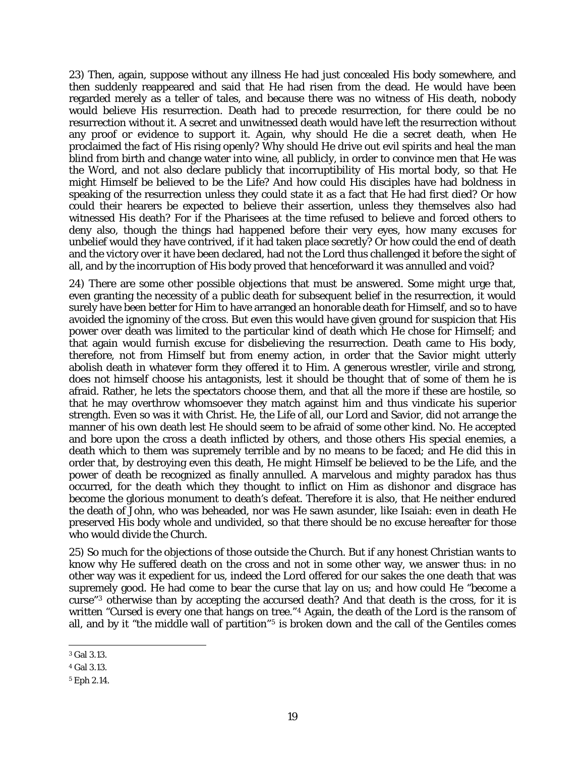23) Then, again, suppose without any illness He had just concealed His body somewhere, and then suddenly reappeared and said that He had risen from the dead. He would have been regarded merely as a teller of tales, and because there was no witness of His death, nobody would believe His resurrection. Death had to precede resurrection, for there could be no resurrection without it. A secret and unwitnessed death would have left the resurrection without any proof or evidence to support it. Again, why should He die a secret death, when He proclaimed the fact of His rising openly? Why should He drive out evil spirits and heal the man blind from birth and change water into wine, all publicly, in order to convince men that He was the Word, and not also declare publicly that incorruptibility of His mortal body, so that He might Himself be believed to be the Life? And how could His disciples have had boldness in speaking of the resurrection unless they could state it as a fact that He had first died? Or how could their hearers be expected to believe their assertion, unless they themselves also had witnessed His death? For if the Pharisees at the time refused to believe and forced others to deny also, though the things had happened before their very eyes, how many excuses for unbelief would they have contrived, if it had taken place secretly? Or how could the end of death and the victory over it have been declared, had not the Lord thus challenged it before the sight of all, and by the incorruption of His body proved that henceforward it was annulled and void?

24) There are some other possible objections that must be answered. Some might urge that, even granting the necessity of a public death for subsequent belief in the resurrection, it would surely have been better for Him to have arranged an honorable death for Himself, and so to have avoided the ignominy of the cross. But even this would have given ground for suspicion that His power over death was limited to the particular kind of death which He chose for Himself; and that again would furnish excuse for disbelieving the resurrection. Death came to His body, therefore, not from Himself but from enemy action, in order that the Savior might utterly abolish death in whatever form they offered it to Him. A generous wrestler, virile and strong, does not himself choose his antagonists, lest it should be thought that of some of them he is afraid. Rather, he lets the spectators choose them, and that all the more if these are hostile, so that he may overthrow whomsoever they match against him and thus vindicate his superior strength. Even so was it with Christ. He, the Life of all, our Lord and Savior, did not arrange the manner of his own death lest He should seem to be afraid of some other kind. No. He accepted and bore upon the cross a death inflicted by others, and those others His special enemies, a death which to them was supremely terrible and by no means to be faced; and He did this in order that, by destroying even this death, He might Himself be believed to be the Life, and the power of death be recognized as finally annulled. A marvelous and mighty paradox has thus occurred, for the death which they thought to inflict on Him as dishonor and disgrace has become the glorious monument to death's defeat. Therefore it is also, that He neither endured the death of John, who was beheaded, nor was He sawn asunder, like Isaiah: even in death He preserved His body whole and undivided, so that there should be no excuse hereafter for those who would divide the Church.

25) So much for the objections of those outside the Church. But if any honest Christian wants to know why He suffered death on the cross and not in some other way, we answer thus: in no other way was it expedient for us, indeed the Lord offered for our sakes the one death that was supremely good. He had come to bear the curse that lay on us; and how could He "become a curse"[3](#page-18-0) otherwise than by accepting the accursed death? And that death is the cross, for it is written "Cursed is every one that hangs on tree."<sup>[4](#page-18-1)</sup> Again, the death of the Lord is the ransom of all, and by it "the middle wall of partition"<sup>[5](#page-18-2)</sup> is broken down and the call of the Gentiles comes

<span id="page-18-0"></span><sup>&</sup>lt;u>.</u> 3 Gal 3.13.

<span id="page-18-1"></span><sup>4</sup> Gal 3.13.

<span id="page-18-2"></span><sup>5</sup> Eph 2.14.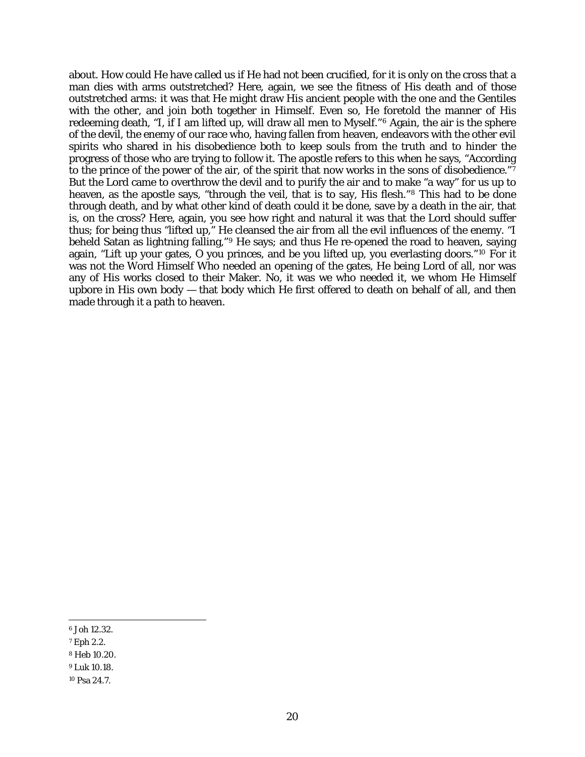about. How could He have called us if He had not been crucified, for it is only on the cross that a man dies with arms outstretched? Here, again, we see the fitness of His death and of those outstretched arms: it was that He might draw His ancient people with the one and the Gentiles with the other, and join both together in Himself. Even so, He foretold the manner of His redeeming death, "I, if I am lifted up, will draw all men to Myself."[6](#page-19-0) Again, the air is the sphere of the devil, the enemy of our race who, having fallen from heaven, endeavors with the other evil spirits who shared in his disobedience both to keep souls from the truth and to hinder the progress of those who are trying to follow it. The apostle refers to this when he says, "According to the prince of the power of the air, of the spirit that now works in the sons of disobedience."<sup>[7](#page-19-1)</sup> But the Lord came to overthrow the devil and to purify the air and to make "a way" for us up to heaven, as the apostle says, "through the veil, that is to say, His flesh."<sup>[8](#page-19-2)</sup> This had to be done through death, and by what other kind of death could it be done, save by a death in the air, that is, on the cross? Here, again, you see how right and natural it was that the Lord should suffer thus; for being thus "lifted up," He cleansed the air from all the evil influences of the enemy. "I beheld Satan as lightning falling,"<sup>[9](#page-19-3)</sup> He says; and thus He re-opened the road to heaven, saying again, "Lift up your gates, O you princes, and be you lifted up, you everlasting doors."[10](#page-19-4) For it was not the Word Himself Who needed an opening of the gates, He being Lord of all, nor was any of His works closed to their Maker. No, it was we who needed it, we whom He Himself upbore in His own body — that body which He first offered to death on behalf of all, and then made through it a path to heaven.

<span id="page-19-0"></span>l 6 Joh 12.32.

<span id="page-19-1"></span><sup>7</sup> Eph 2.2.

<span id="page-19-2"></span><sup>8</sup> Heb 10.20.

<span id="page-19-3"></span><sup>9</sup> Luk 10.18.

<span id="page-19-4"></span><sup>10</sup> Psa 24.7.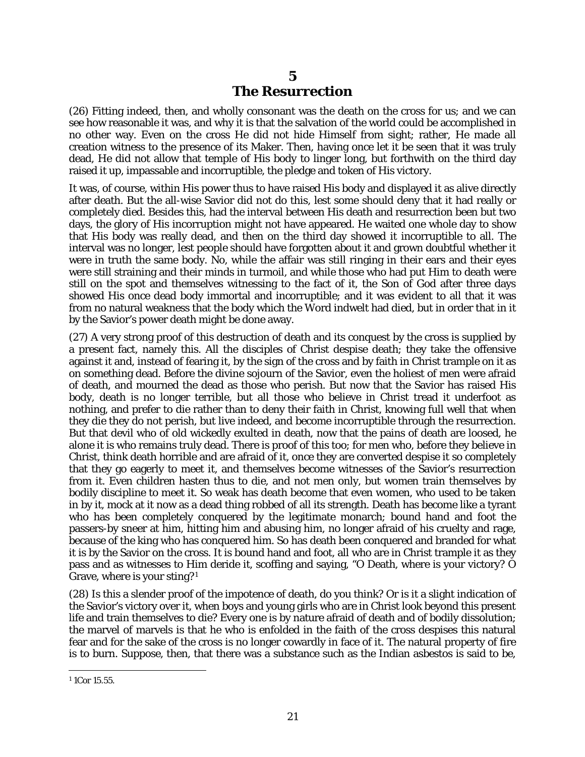#### **5 The Resurrection**

<span id="page-20-0"></span>(26) Fitting indeed, then, and wholly consonant was the death on the cross for us; and we can see how reasonable it was, and why it is that the salvation of the world could be accomplished in no other way. Even on the cross He did not hide Himself from sight; rather, He made all creation witness to the presence of its Maker. Then, having once let it be seen that it was truly dead, He did not allow that temple of His body to linger long, but forthwith on the third day raised it up, impassable and incorruptible, the pledge and token of His victory.

It was, of course, within His power thus to have raised His body and displayed it as alive directly after death. But the all-wise Savior did not do this, lest some should deny that it had really or completely died. Besides this, had the interval between His death and resurrection been but two days, the glory of His incorruption might not have appeared. He waited one whole day to show that His body was really dead, and then on the third day showed it incorruptible to all. The interval was no longer, lest people should have forgotten about it and grown doubtful whether it were in truth the same body. No, while the affair was still ringing in their ears and their eyes were still straining and their minds in turmoil, and while those who had put Him to death were still on the spot and themselves witnessing to the fact of it, the Son of God after three days showed His once dead body immortal and incorruptible; and it was evident to all that it was from no natural weakness that the body which the Word indwelt had died, but in order that in it by the Savior's power death might be done away.

(27) A very strong proof of this destruction of death and its conquest by the cross is supplied by a present fact, namely this. All the disciples of Christ despise death; they take the offensive against it and, instead of fearing it, by the sign of the cross and by faith in Christ trample on it as on something dead. Before the divine sojourn of the Savior, even the holiest of men were afraid of death, and mourned the dead as those who perish. But now that the Savior has raised His body, death is no longer terrible, but all those who believe in Christ tread it underfoot as nothing, and prefer to die rather than to deny their faith in Christ, knowing full well that when they die they do not perish, but live indeed, and become incorruptible through the resurrection. But that devil who of old wickedly exulted in death, now that the pains of death are loosed, he alone it is who remains truly dead. There is proof of this too; for men who, before they believe in Christ, think death horrible and are afraid of it, once they are converted despise it so completely that they go eagerly to meet it, and themselves become witnesses of the Savior's resurrection from it. Even children hasten thus to die, and not men only, but women train themselves by bodily discipline to meet it. So weak has death become that even women, who used to be taken in by it, mock at it now as a dead thing robbed of all its strength. Death has become like a tyrant who has been completely conquered by the legitimate monarch; bound hand and foot the passers-by sneer at him, hitting him and abusing him, no longer afraid of his cruelty and rage, because of the king who has conquered him. So has death been conquered and branded for what it is by the Savior on the cross. It is bound hand and foot, all who are in Christ trample it as they pass and as witnesses to Him deride it, scoffing and saying, "O Death, where is your victory? O Grave, where is your sting?[1](#page-20-1)

(28) Is this a slender proof of the impotence of death, do you think? Or is it a slight indication of the Savior's victory over it, when boys and young girls who are in Christ look beyond this present life and train themselves to die? Every one is by nature afraid of death and of bodily dissolution; the marvel of marvels is that he who is enfolded in the faith of the cross despises this natural fear and for the sake of the cross is no longer cowardly in face of it. The natural property of fire is to burn. Suppose, then, that there was a substance such as the Indian asbestos is said to be,

<u>.</u>

<span id="page-20-1"></span><sup>1 1</sup>Cor 15.55.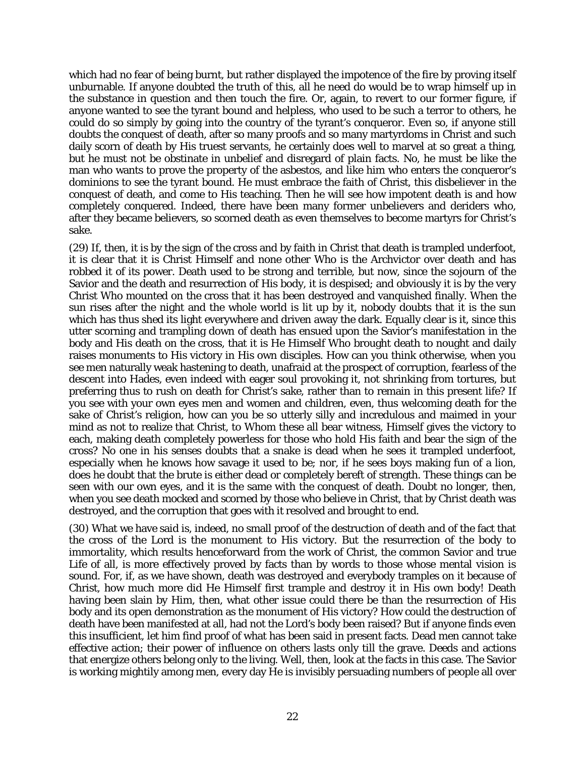which had no fear of being burnt, but rather displayed the impotence of the fire by proving itself unburnable. If anyone doubted the truth of this, all he need do would be to wrap himself up in the substance in question and then touch the fire. Or, again, to revert to our former figure, if anyone wanted to see the tyrant bound and helpless, who used to be such a terror to others, he could do so simply by going into the country of the tyrant's conqueror. Even so, if anyone still doubts the conquest of death, after so many proofs and so many martyrdoms in Christ and such daily scorn of death by His truest servants, he certainly does well to marvel at so great a thing, but he must not be obstinate in unbelief and disregard of plain facts. No, he must be like the man who wants to prove the property of the asbestos, and like him who enters the conqueror's dominions to see the tyrant bound. He must embrace the faith of Christ, this disbeliever in the conquest of death, and come to His teaching. Then he will see how impotent death is and how completely conquered. Indeed, there have been many former unbelievers and deriders who, after they became believers, so scorned death as even themselves to become martyrs for Christ's sake.

(29) If, then, it is by the sign of the cross and by faith in Christ that death is trampled underfoot, it is clear that it is Christ Himself and none other Who is the Archvictor over death and has robbed it of its power. Death used to be strong and terrible, but now, since the sojourn of the Savior and the death and resurrection of His body, it is despised; and obviously it is by the very Christ Who mounted on the cross that it has been destroyed and vanquished finally. When the sun rises after the night and the whole world is lit up by it, nobody doubts that it is the sun which has thus shed its light everywhere and driven away the dark. Equally clear is it, since this utter scorning and trampling down of death has ensued upon the Savior's manifestation in the body and His death on the cross, that it is He Himself Who brought death to nought and daily raises monuments to His victory in His own disciples. How can you think otherwise, when you see men naturally weak hastening to death, unafraid at the prospect of corruption, fearless of the descent into Hades, even indeed with eager soul provoking it, not shrinking from tortures, but preferring thus to rush on death for Christ's sake, rather than to remain in this present life? If you see with your own eyes men and women and children, even, thus welcoming death for the sake of Christ's religion, how can you be so utterly silly and incredulous and maimed in your mind as not to realize that Christ, to Whom these all bear witness, Himself gives the victory to each, making death completely powerless for those who hold His faith and bear the sign of the cross? No one in his senses doubts that a snake is dead when he sees it trampled underfoot, especially when he knows how savage it used to be; nor, if he sees boys making fun of a lion, does he doubt that the brute is either dead or completely bereft of strength. These things can be seen with our own eyes, and it is the same with the conquest of death. Doubt no longer, then, when you see death mocked and scorned by those who believe in Christ, that by Christ death was destroyed, and the corruption that goes with it resolved and brought to end.

(30) What we have said is, indeed, no small proof of the destruction of death and of the fact that the cross of the Lord is the monument to His victory. But the resurrection of the body to immortality, which results henceforward from the work of Christ, the common Savior and true Life of all, is more effectively proved by facts than by words to those whose mental vision is sound. For, if, as we have shown, death was destroyed and everybody tramples on it because of Christ, how much more did He Himself first trample and destroy it in His own body! Death having been slain by Him, then, what other issue could there be than the resurrection of His body and its open demonstration as the monument of His victory? How could the destruction of death have been manifested at all, had not the Lord's body been raised? But if anyone finds even this insufficient, let him find proof of what has been said in present facts. Dead men cannot take effective action; their power of influence on others lasts only till the grave. Deeds and actions that energize others belong only to the living. Well, then, look at the facts in this case. The Savior is working mightily among men, every day He is invisibly persuading numbers of people all over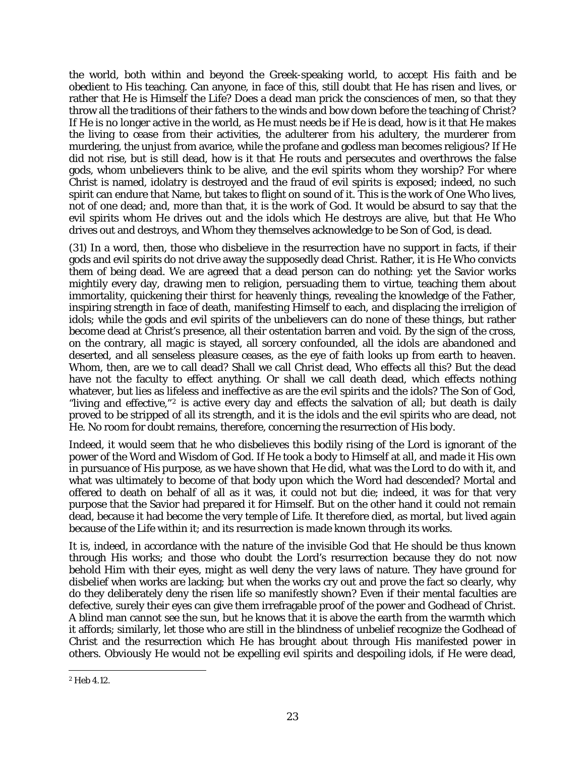the world, both within and beyond the Greek-speaking world, to accept His faith and be obedient to His teaching. Can anyone, in face of this, still doubt that He has risen and lives, or rather that He is Himself the Life? Does a dead man prick the consciences of men, so that they throw all the traditions of their fathers to the winds and bow down before the teaching of Christ? If He is no longer active in the world, as He must needs be if He is dead, how is it that He makes the living to cease from their activities, the adulterer from his adultery, the murderer from murdering, the unjust from avarice, while the profane and godless man becomes religious? If He did not rise, but is still dead, how is it that He routs and persecutes and overthrows the false gods, whom unbelievers think to be alive, and the evil spirits whom they worship? For where Christ is named, idolatry is destroyed and the fraud of evil spirits is exposed; indeed, no such spirit can endure that Name, but takes to flight on sound of it. This is the work of One Who lives, not of one dead; and, more than that, it is the work of God. It would be absurd to say that the evil spirits whom He drives out and the idols which He destroys are alive, but that He Who drives out and destroys, and Whom they themselves acknowledge to be Son of God, is dead.

(31) In a word, then, those who disbelieve in the resurrection have no support in facts, if their gods and evil spirits do not drive away the supposedly dead Christ. Rather, it is He Who convicts them of being dead. We are agreed that a dead person can do nothing: yet the Savior works mightily every day, drawing men to religion, persuading them to virtue, teaching them about immortality, quickening their thirst for heavenly things, revealing the knowledge of the Father, inspiring strength in face of death, manifesting Himself to each, and displacing the irreligion of idols; while the gods and evil spirits of the unbelievers can do none of these things, but rather become dead at Christ's presence, all their ostentation barren and void. By the sign of the cross, on the contrary, all magic is stayed, all sorcery confounded, all the idols are abandoned and deserted, and all senseless pleasure ceases, as the eye of faith looks up from earth to heaven. Whom, then, are we to call dead? Shall we call Christ dead, Who effects all this? But the dead have not the faculty to effect anything. Or shall we call death dead, which effects nothing whatever, but lies as lifeless and ineffective as are the evil spirits and the idols? The Son of God, "living and effective,"<sup>[2](#page-22-0)</sup> is active every day and effects the salvation of all; but death is daily proved to be stripped of all its strength, and it is the idols and the evil spirits who are dead, not He. No room for doubt remains, therefore, concerning the resurrection of His body.

Indeed, it would seem that he who disbelieves this bodily rising of the Lord is ignorant of the power of the Word and Wisdom of God. If He took a body to Himself at all, and made it His own in pursuance of His purpose, as we have shown that He did, what was the Lord to do with it, and what was ultimately to become of that body upon which the Word had descended? Mortal and offered to death on behalf of all as it was, it could not but die; indeed, it was for that very purpose that the Savior had prepared it for Himself. But on the other hand it could not remain dead, because it had become the very temple of Life. It therefore died, as mortal, but lived again because of the Life within it; and its resurrection is made known through its works.

It is, indeed, in accordance with the nature of the invisible God that He should be thus known through His works; and those who doubt the Lord's resurrection because they do not now behold Him with their eyes, might as well deny the very laws of nature. They have ground for disbelief when works are lacking; but when the works cry out and prove the fact so clearly, why do they deliberately deny the risen life so manifestly shown? Even if their mental faculties are defective, surely their eyes can give them irrefragable proof of the power and Godhead of Christ. A blind man cannot see the sun, but he knows that it is above the earth from the warmth which it affords; similarly, let those who are still in the blindness of unbelief recognize the Godhead of Christ and the resurrection which He has brought about through His manifested power in others. Obviously He would not be expelling evil spirits and despoiling idols, if He were dead,

<span id="page-22-0"></span><sup>&</sup>lt;u>.</u> 2 Heb 4.12.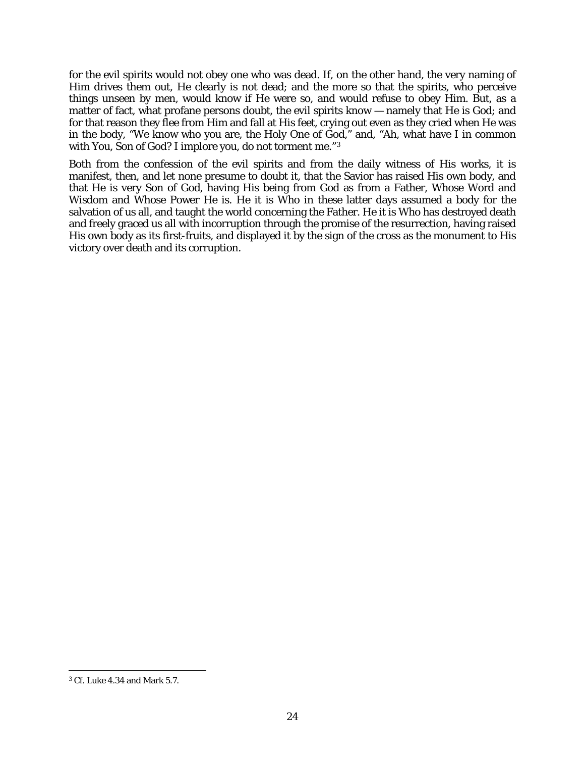for the evil spirits would not obey one who was dead. If, on the other hand, the very naming of Him drives them out, He clearly is not dead; and the more so that the spirits, who perceive things unseen by men, would know if He were so, and would refuse to obey Him. But, as a matter of fact, what profane persons doubt, the evil spirits know — namely that He is God; and for that reason they flee from Him and fall at His feet, crying out even as they cried when He was in the body, "We know who you are, the Holy One of God," and, "Ah, what have I in common with You, Son of God? I implore you, do not torment me."[3](#page-23-0)

Both from the confession of the evil spirits and from the daily witness of His works, it is manifest, then, and let none presume to doubt it, that the Savior has raised His own body, and that He is very Son of God, having His being from God as from a Father, Whose Word and Wisdom and Whose Power He is. He it is Who in these latter days assumed a body for the salvation of us all, and taught the world concerning the Father. He it is Who has destroyed death and freely graced us all with incorruption through the promise of the resurrection, having raised His own body as its first-fruits, and displayed it by the sign of the cross as the monument to His victory over death and its corruption.

<u>.</u>

<span id="page-23-0"></span><sup>3</sup> Cf. Luke 4.34 and Mark 5.7.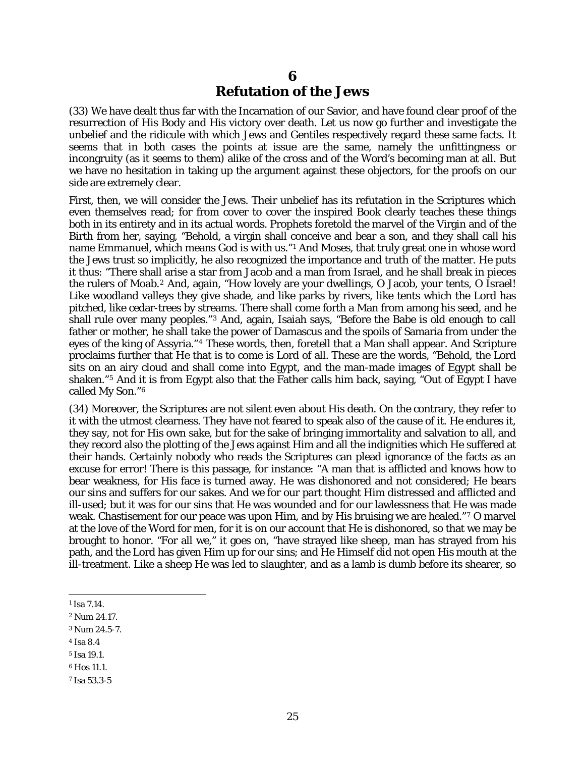#### **6 Refutation of the Jews**

<span id="page-24-0"></span>(33) We have dealt thus far with the Incarnation of our Savior, and have found clear proof of the resurrection of His Body and His victory over death. Let us now go further and investigate the unbelief and the ridicule with which Jews and Gentiles respectively regard these same facts. It seems that in both cases the points at issue are the same, namely the unfittingness or incongruity (as it seems to them) alike of the cross and of the Word's becoming man at all. But we have no hesitation in taking up the argument against these objectors, for the proofs on our side are extremely clear.

First, then, we will consider the Jews. Their unbelief has its refutation in the Scriptures which even themselves read; for from cover to cover the inspired Book clearly teaches these things both in its entirety and in its actual words. Prophets foretold the marvel of the Virgin and of the Birth from her, saying, "Behold, a virgin shall conceive and bear a son, and they shall call his name *Emmanuel,* which means *God is with us.*"[1](#page-24-1) And Moses, that truly great one in whose word the Jews trust so implicitly, he also recognized the importance and truth of the matter. He puts it thus: "There shall arise a star from Jacob and a man from Israel, and he shall break in pieces the rulers of Moab.[2](#page-24-2) And, again, "How lovely are your dwellings, O Jacob, your tents, O Israel! Like woodland valleys they give shade, and like parks by rivers, like tents which the Lord has pitched, like cedar-trees by streams. There shall come forth a Man from among his seed, and he shall rule over many peoples."[3](#page-24-3) And, again, Isaiah says, "Before the Babe is old enough to call father or mother, he shall take the power of Damascus and the spoils of Samaria from under the eyes of the king of Assyria."[4](#page-24-4) These words, then, foretell that a Man shall appear. And Scripture proclaims further that He that is to come is Lord of all. These are the words, "Behold, the Lord sits on an airy cloud and shall come into Egypt, and the man-made images of Egypt shall be shaken."[5](#page-24-5) And it is from Egypt also that the Father calls him back, saying, "Out of Egypt I have called My Son."[6](#page-24-6)

(34) Moreover, the Scriptures are not silent even about His death. On the contrary, they refer to it with the utmost clearness. They have not feared to speak also of the cause of it. He endures it, they say, not for His own sake, but for the sake of bringing immortality and salvation to all, and they record also the plotting of the Jews against Him and all the indignities which He suffered at their hands. Certainly nobody who reads the Scriptures can plead ignorance of the facts as an excuse for error! There is this passage, for instance: "A man that is afflicted and knows how to bear weakness, for His face is turned away. He was dishonored and not considered; He bears our sins and suffers for our sakes. And we for our part thought Him distressed and afflicted and ill-used; but it was for our sins that He was wounded and for our lawlessness that He was made weak. Chastisement for our peace was upon Him, and by His bruising we are healed."[7](#page-24-7) O marvel at the love of the Word for men, for it is on our account that He is dishonored, so that we may be brought to honor. "For all we," it goes on, "have strayed like sheep, man has strayed from his path, and the Lord has given Him up for our sins; and He Himself did not open His mouth at the ill-treatment. Like a sheep He was led to slaughter, and as a lamb is dumb before its shearer, so

<span id="page-24-1"></span><sup>&</sup>lt;u>.</u>  $1$  Isa 7.14.

<span id="page-24-2"></span><sup>2</sup> Num 24.17.

<span id="page-24-3"></span><sup>3</sup> Num 24.5-7.

<span id="page-24-4"></span><sup>4</sup> Isa 8.4

<span id="page-24-5"></span><sup>5</sup> Isa 19.1.

<span id="page-24-6"></span><sup>6</sup> Hos 11.1.

<span id="page-24-7"></span><sup>7</sup> Isa 53.3-5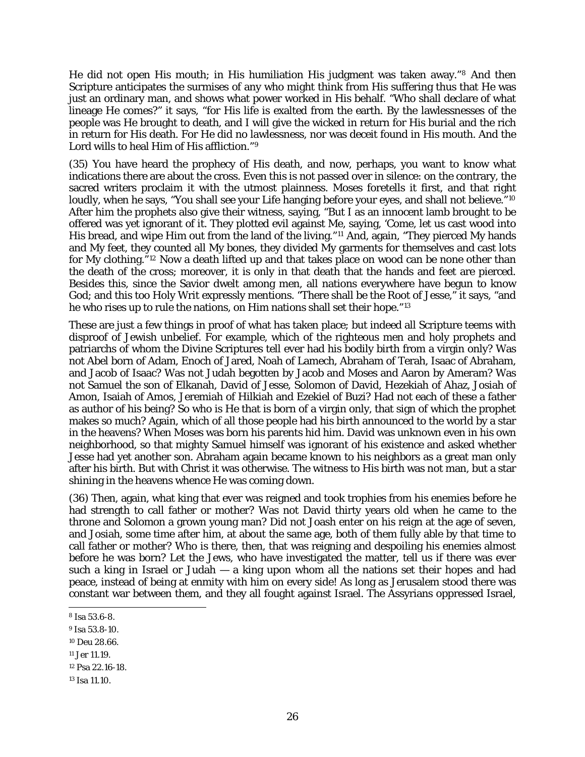He did not open His mouth; in His humiliation His judgment was taken away."[8](#page-25-0) And then Scripture anticipates the surmises of any who might think from His suffering thus that He was just an ordinary man, and shows what power worked in His behalf. "Who shall declare of what lineage He comes?" it says, "for His life is exalted from the earth. By the lawlessnesses of the people was He brought to death, and I will give the wicked in return for His burial and the rich in return for His death. For He did no lawlessness, nor was deceit found in His mouth. And the Lord wills to heal Him of His affliction."[9](#page-25-1)

(35) You have heard the prophecy of His death, and now, perhaps, you want to know what indications there are about the cross. Even this is not passed over in silence: on the contrary, the sacred writers proclaim it with the utmost plainness. Moses foretells it first, and that right loudly, when he says, "You shall see your Life hanging before your eyes, and shall not believe."<sup>[10](#page-25-2)</sup> After him the prophets also give their witness, saying, "But I as an innocent lamb brought to be offered was yet ignorant of it. They plotted evil against Me, saying, 'Come, let us cast wood into His bread, and wipe Him out from the land of the living."<sup>[11](#page-25-3)</sup> And, again, "They pierced My hands and My feet, they counted all My bones, they divided My garments for themselves and cast lots for My clothing."[12](#page-25-4) Now a death lifted up and that takes place on wood can be none other than the death of the cross; moreover, it is only in that death that the hands and feet are pierced. Besides this, since the Savior dwelt among men, all nations everywhere have begun to know God; and this too Holy Writ expressly mentions. "There shall be the Root of Jesse," it says, "and he who rises up to rule the nations, on Him nations shall set their hope."[13](#page-25-5)

These are just a few things in proof of what has taken place; but indeed all Scripture teems with disproof of Jewish unbelief. For example, which of the righteous men and holy prophets and patriarchs of whom the Divine Scriptures tell ever had his bodily birth from a virgin only? Was not Abel born of Adam, Enoch of Jared, Noah of Lamech, Abraham of Terah, Isaac of Abraham, and Jacob of Isaac? Was not Judah begotten by Jacob and Moses and Aaron by Ameram? Was not Samuel the son of Elkanah, David of Jesse, Solomon of David, Hezekiah of Ahaz, Josiah of Amon, Isaiah of Amos, Jeremiah of Hilkiah and Ezekiel of Buzi? Had not each of these a father as author of his being? So who is He that is born of a virgin only, that sign of which the prophet makes so much? Again, which of all those people had his birth announced to the world by a star in the heavens? When Moses was born his parents hid him. David was unknown even in his own neighborhood, so that mighty Samuel himself was ignorant of his existence and asked whether Jesse had yet another son. Abraham again became known to his neighbors as a great man only after his birth. But with Christ it was otherwise. The witness to His birth was not man, but a star shining in the heavens whence He was coming down.

(36) Then, again, what king that ever was reigned and took trophies from his enemies before he had strength to call father or mother? Was not David thirty years old when he came to the throne and Solomon a grown young man? Did not Joash enter on his reign at the age of seven, and Josiah, some time after him, at about the same age, both of them fully able by that time to call father or mother? Who is there, then, that was reigning and despoiling his enemies almost before he was born? Let the Jews, who have investigated the matter, tell us if there was ever such a king in Israel or Judah — a king upon whom all the nations set their hopes and had peace, instead of being at enmity with him on every side! As long as Jerusalem stood there was constant war between them, and they all fought against Israel. The Assyrians oppressed Israel,

<span id="page-25-0"></span> $\overline{a}$ 8 Isa 53.6-8.

<span id="page-25-1"></span><sup>9</sup> Isa 53.8-10.

<span id="page-25-2"></span><sup>10</sup> Deu 28.66.

<span id="page-25-3"></span><sup>11</sup> Jer 11.19.

<span id="page-25-4"></span><sup>12</sup> Psa 22.16-18.

<span id="page-25-5"></span><sup>13</sup> Isa 11.10.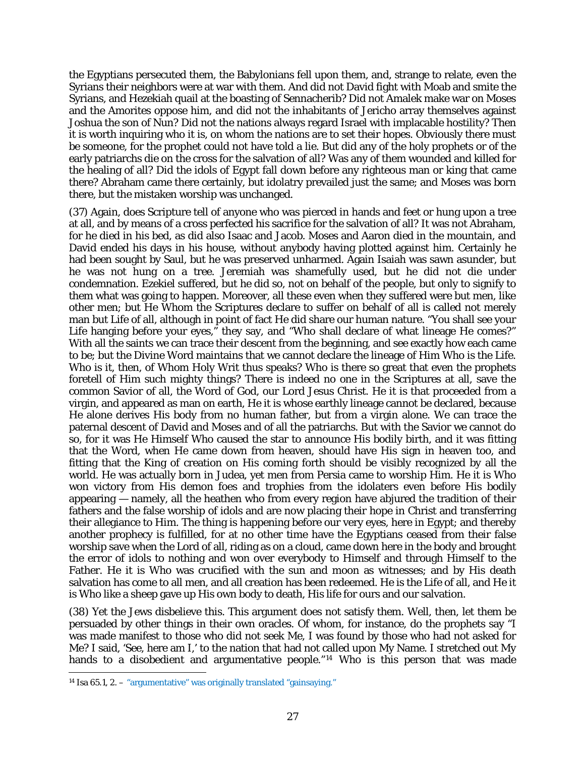the Egyptians persecuted them, the Babylonians fell upon them, and, strange to relate, even the Syrians their neighbors were at war with them. And did not David fight with Moab and smite the Syrians, and Hezekiah quail at the boasting of Sennacherib? Did not Amalek make war on Moses and the Amorites oppose him, and did not the inhabitants of Jericho array themselves against Joshua the son of Nun? Did not the nations always regard Israel with implacable hostility? Then it is worth inquiring who it is, on whom the nations are to set their hopes. Obviously there must be someone, for the prophet could not have told a lie. But did any of the holy prophets or of the early patriarchs die on the cross for the salvation of all? Was any of them wounded and killed for the healing of all? Did the idols of Egypt fall down before any righteous man or king that came there? Abraham came there certainly, but idolatry prevailed just the same; and Moses was born there, but the mistaken worship was unchanged.

(37) Again, does Scripture tell of anyone who was pierced in hands and feet or hung upon a tree at all, and by means of a cross perfected his sacrifice for the salvation of all? It was not Abraham, for he died in his bed, as did also Isaac and Jacob. Moses and Aaron died in the mountain, and David ended his days in his house, without anybody having plotted against him. Certainly he had been sought by Saul, but he was preserved unharmed. Again Isaiah was sawn asunder, but he was not hung on a tree. Jeremiah was shamefully used, but he did not die under condemnation. Ezekiel suffered, but he did so, not on behalf of the people, but only to signify to them what was going to happen. Moreover, all these even when they suffered were but men, like other men; but He Whom the Scriptures declare to suffer on behalf of all is called not merely man but Life of all, although in point of fact He did share our human nature. "You shall see your Life hanging before your eyes," they say, and "Who shall declare of what lineage He comes?" With all the saints we can trace their descent from the beginning, and see exactly how each came to be; but the Divine Word maintains that we cannot declare the lineage of Him Who is the Life. Who is it, then, of Whom Holy Writ thus speaks? Who is there so great that even the prophets foretell of Him such mighty things? There is indeed no one in the Scriptures at all, save the common Savior of all, the Word of God, our Lord Jesus Christ. He it is that proceeded from a virgin, and appeared as man on earth, He it is whose earthly lineage cannot be declared, because He alone derives His body from no human father, but from a virgin alone. We can trace the paternal descent of David and Moses and of all the patriarchs. But with the Savior we cannot do so, for it was He Himself Who caused the star to announce His bodily birth, and it was fitting that the Word, when He came down from heaven, should have His sign in heaven too, and fitting that the King of creation on His coming forth should be visibly recognized by all the world. He was actually born in Judea, yet men from Persia came to worship Him. He it is Who won victory from His demon foes and trophies from the idolaters even before His bodily appearing — namely, all the heathen who from every region have abjured the tradition of their fathers and the false worship of idols and are now placing their hope in Christ and transferring their allegiance to Him. The thing is happening before our very eyes, here in Egypt; and thereby another prophecy is fulfilled, for at no other time have the Egyptians ceased from their false worship save when the Lord of all, riding as on a cloud, came down here in the body and brought the error of idols to nothing and won over everybody to Himself and through Himself to the Father. He it is Who was crucified with the sun and moon as witnesses; and by His death salvation has come to all men, and all creation has been redeemed. He is the Life of all, and He it is Who like a sheep gave up His own body to death, His life for ours and our salvation.

(38) Yet the Jews disbelieve this. This argument does not satisfy them. Well, then, let them be persuaded by other things in their own oracles. Of whom, for instance, do the prophets say "I was made manifest to those who did not seek Me, I was found by those who had not asked for Me? I said, 'See, here am I,' to the nation that had not called upon My Name. I stretched out My hands to a disobedient and argumentative people."[14](#page-26-0) Who is this person that was made

<span id="page-26-0"></span> $\overline{a}$ 14 Isa 65.1, 2. – "argumentative" was originally translated "gainsaying."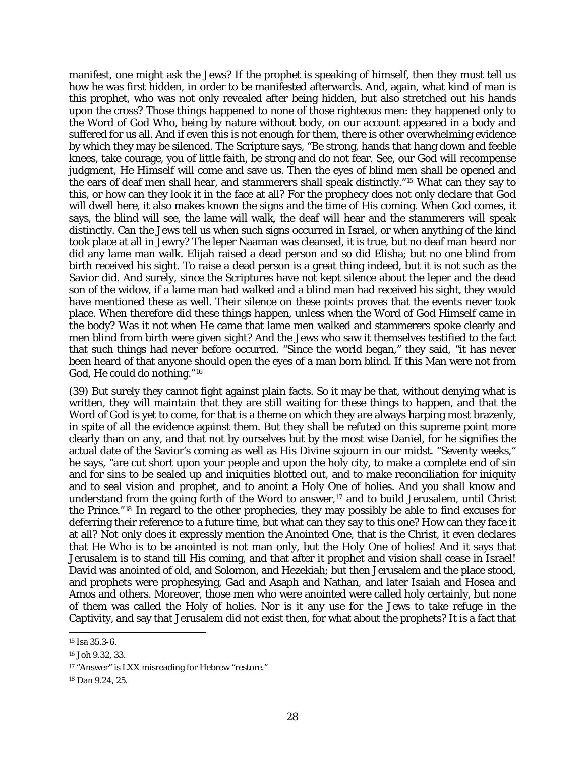manifest, one might ask the Jews? If the prophet is speaking of himself, then they must tell us how he was first hidden, in order to be manifested afterwards. And, again, what kind of man is this prophet, who was not only revealed after being hidden, but also stretched out his hands upon the cross? Those things happened to none of those righteous men: they happened only to the Word of God Who, being by nature without body, on our account appeared in a body and suffered for us all. And if even this is not enough for them, there is other overwhelming evidence by which they may be silenced. The Scripture says, "Be strong, hands that hang down and feeble knees, take courage, you of little faith, be strong and do not fear. See, our God will recompense judgment, He Himself will come and save us. Then the eyes of blind men shall be opened and the ears of deaf men shall hear, and stammerers shall speak distinctly."[15](#page-27-0) What can they say to this, or how can they look it in the face at all? For the prophecy does not only declare that God will dwell here, it also makes known the signs and the time of His coming. When God comes, it says, the blind will see, the lame will walk, the deaf will hear and the stammerers will speak distinctly. Can the Jews tell us when such signs occurred in Israel, or when anything of the kind took place at all in Jewry? The leper Naaman was cleansed, it is true, but no deaf man heard nor did any lame man walk. Elijah raised a dead person and so did Elisha; but no one blind from birth received his sight. To raise a dead person is a great thing indeed, but it is not such as the Savior did. And surely, since the Scriptures have not kept silence about the leper and the dead son of the widow, if a lame man had walked and a blind man had received his sight, they would have mentioned these as well. Their silence on these points proves that the events never took place. When therefore did these things happen, unless when the Word of God Himself came in the body? Was it not when He came that lame men walked and stammerers spoke clearly and men blind from birth were given sight? And the Jews who saw it themselves testified to the fact that such things had never before occurred. "Since the world began," they said, "it has never been heard of that anyone should open the eyes of a man born blind. If this Man were not from God, He could do nothing."[16](#page-27-1)

(39) But surely they cannot fight against plain facts. So it may be that, without denying what is written, they will maintain that they are still waiting for these things to happen, and that the Word of God is yet to come, for that is a theme on which they are always harping most brazenly, in spite of all the evidence against them. But they shall be refuted on this supreme point more clearly than on any, and that not by ourselves but by the most wise Daniel, for he signifies the actual date of the Savior's coming as well as His Divine sojourn in our midst. "Seventy weeks," he says, "are cut short upon your people and upon the holy city, to make a complete end of sin and for sins to be sealed up and iniquities blotted out, and to make reconciliation for iniquity and to seal vision and prophet, and to anoint a Holy One of holies. And you shall know and understand from the going forth of the Word to answer,<sup>[17](#page-27-2)</sup> and to build Jerusalem, until Christ the Prince."[18](#page-27-3) In regard to the other prophecies, they may possibly be able to find excuses for deferring their reference to a future time, but what can they say to this one? How can they face it at all? Not only does it expressly mention the Anointed One, that is the Christ, it even declares that He Who is to be anointed is not man only, but the Holy One of holies! And it says that Jerusalem is to stand till His coming, and that after it prophet and vision shall cease in Israel! David was anointed of old, and Solomon, and Hezekiah; but then Jerusalem and the place stood, and prophets were prophesying, Gad and Asaph and Nathan, and later Isaiah and Hosea and Amos and others. Moreover, those men who were anointed were called holy certainly, but none of them was called the Holy of holies. Nor is it any use for the Jews to take refuge in the Captivity, and say that Jerusalem did not exist then, for what about the prophets? It is a fact that

<span id="page-27-0"></span> $\overline{a}$ 15 Isa 35.3-6.

<span id="page-27-1"></span><sup>16</sup> Joh 9.32, 33.

<span id="page-27-2"></span><sup>&</sup>lt;sup>17</sup> "Answer" is LXX misreading for Hebrew "restore."

<span id="page-27-3"></span><sup>18</sup> Dan 9.24, 25.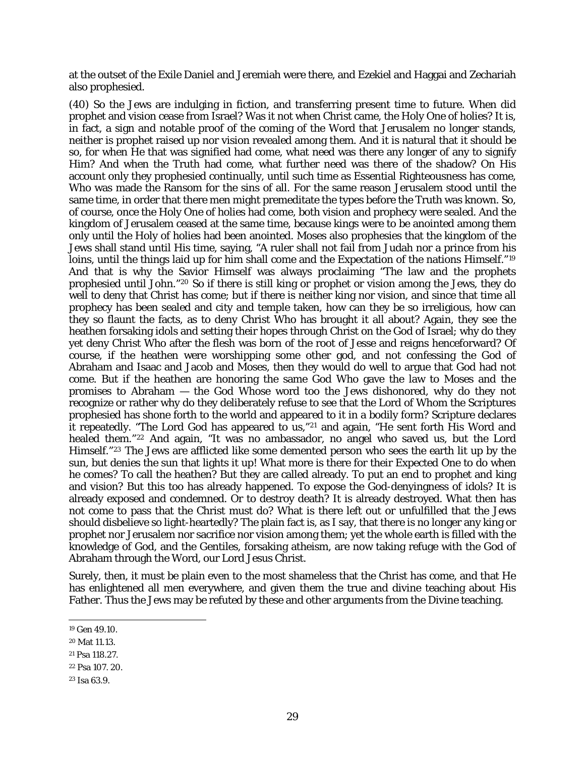at the outset of the Exile Daniel and Jeremiah were there, and Ezekiel and Haggai and Zechariah also prophesied.

(40) So the Jews are indulging in fiction, and transferring present time to future. When did prophet and vision cease from Israel? Was it not when Christ came, the Holy One of holies? It is, in fact, a sign and notable proof of the coming of the Word that Jerusalem no longer stands, neither is prophet raised up nor vision revealed among them. And it is natural that it should be so, for when He that was signified had come, what need was there any longer of any to signify Him? And when the Truth had come, what further need was there of the shadow? On His account only they prophesied continually, until such time as Essential Righteousness has come, Who was made the Ransom for the sins of all. For the same reason Jerusalem stood until the same time, in order that there men might premeditate the types before the Truth was known. So, of course, once the Holy One of holies had come, both vision and prophecy were sealed. And the kingdom of Jerusalem ceased at the same time, because kings were to be anointed among them only until the Holy of holies had been anointed. Moses also prophesies that the kingdom of the Jews shall stand until His time, saying, "A ruler shall not fail from Judah nor a prince from his loins, until the things laid up for him shall come and the Expectation of the nations Himself."<sup>[19](#page-28-0)</sup> And that is why the Savior Himself was always proclaiming "The law and the prophets prophesied until John."[20](#page-28-1) So if there is still king or prophet or vision among the Jews, they do well to deny that Christ has come; but if there is neither king nor vision, and since that time all prophecy has been sealed and city and temple taken, how can they be so irreligious, how can they so flaunt the facts, as to deny Christ Who has brought it all about? Again, they see the heathen forsaking idols and setting their hopes through Christ on the God of Israel; why do they yet deny Christ Who after the flesh was born of the root of Jesse and reigns henceforward? Of course, if the heathen were worshipping some other god, and not confessing the God of Abraham and Isaac and Jacob and Moses, then they would do well to argue that God had not come. But if the heathen are honoring the same God Who gave the law to Moses and the promises to Abraham — the God Whose word too the Jews dishonored, why do they not recognize or rather why do they deliberately refuse to see that the Lord of Whom the Scriptures prophesied has shone forth to the world and appeared to it in a bodily form? Scripture declares it repeatedly. "The Lord God has appeared to us,"[21](#page-28-2) and again, "He sent forth His Word and healed them."[22](#page-28-3) And again, "It was no ambassador, no angel who saved us, but the Lord Himself."[23](#page-28-4) The Jews are afflicted like some demented person who sees the earth lit up by the sun, but denies the sun that lights it up! What more is there for their Expected One to do when he comes? To call the heathen? But they are called already. To put an end to prophet and king and vision? But this too has already happened. To expose the God-denyingness of idols? It is already exposed and condemned. Or to destroy death? It is already destroyed. What then has not come to pass that the Christ must do? What is there left out or unfulfilled that the Jews should disbelieve so light-heartedly? The plain fact is, as I say, that there is no longer any king or prophet nor Jerusalem nor sacrifice nor vision among them; yet the whole earth is filled with the knowledge of God, and the Gentiles, forsaking atheism, are now taking refuge with the God of Abraham through the Word, our Lord Jesus Christ.

Surely, then, it must be plain even to the most shameless that the Christ has come, and that He has enlightened all men everywhere, and given them the true and divine teaching about His Father. Thus the Jews may be refuted by these and other arguments from the Divine teaching.

1

<span id="page-28-0"></span><sup>19</sup> Gen 49.10.

<span id="page-28-1"></span><sup>20</sup> Mat 11.13.

<span id="page-28-2"></span><sup>21</sup> Psa 118.27.

<span id="page-28-3"></span><sup>22</sup> Psa 107. 20.

<span id="page-28-4"></span><sup>23</sup> Isa 63.9.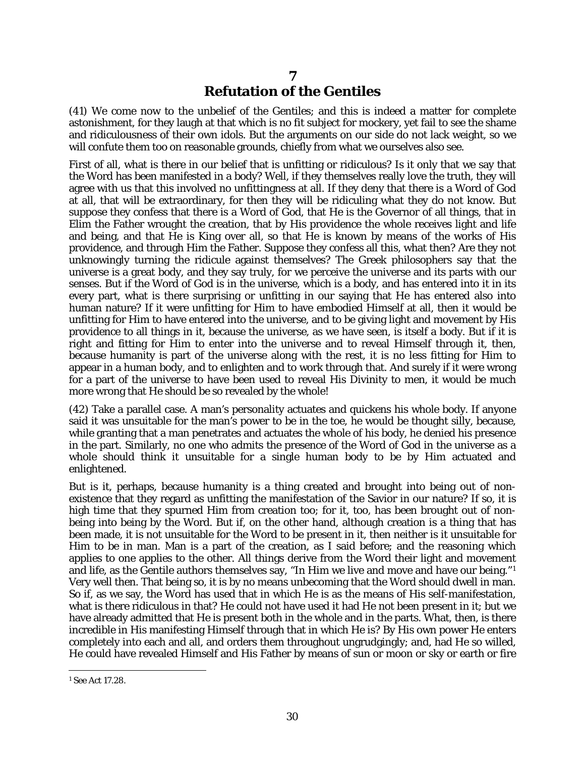# **7 Refutation of the Gentiles**

<span id="page-29-0"></span>(41) We come now to the unbelief of the Gentiles; and this is indeed a matter for complete astonishment, for they laugh at that which is no fit subject for mockery, yet fail to see the shame and ridiculousness of their own idols. But the arguments on our side do not lack weight, so we will confute them too on reasonable grounds, chiefly from what we ourselves also see.

First of all, what is there in our belief that is unfitting or ridiculous? Is it only that we say that the Word has been manifested in a body? Well, if they themselves really love the truth, they will agree with us that this involved no unfittingness at all. If they deny that there is a Word of God at all, that will be extraordinary, for then they will be ridiculing what they do not know. But suppose they confess that there is a Word of God, that He is the Governor of all things, that in Elim the Father wrought the creation, that by His providence the whole receives light and life and being, and that He is King over all, so that He is known by means of the works of His providence, and through Him the Father. Suppose they confess all this, what then? Are they not unknowingly turning the ridicule against themselves? The Greek philosophers say that the universe is a great body, and they say truly, for we perceive the universe and its parts with our senses. But if the Word of God is in the universe, which is a body, and has entered into it in its every part, what is there surprising or unfitting in our saying that He has entered also into human nature? If it were unfitting for Him to have embodied Himself at all, then it would be unfitting for Him to have entered into the universe, and to be giving light and movement by His providence to all things in it, because the universe, as we have seen, is itself a body. But if it is right and fitting for Him to enter into the universe and to reveal Himself through it, then, because humanity is part of the universe along with the rest, it is no less fitting for Him to appear in a human body, and to enlighten and to work through that. And surely if it were wrong for a part of the universe to have been used to reveal His Divinity to men, it would be much more wrong that He should be so revealed by the whole!

(42) Take a parallel case. A man's personality actuates and quickens his whole body. If anyone said it was unsuitable for the man's power to be in the toe, he would be thought silly, because, while granting that a man penetrates and actuates the whole of his body, he denied his presence in the part. Similarly, no one who admits the presence of the Word of God in the universe as a whole should think it unsuitable for a single human body to be by Him actuated and enlightened.

But is it, perhaps, because humanity is a thing created and brought into being out of nonexistence that they regard as unfitting the manifestation of the Savior in our nature? If so, it is high time that they spurned Him from creation too; for it, too, has been brought out of nonbeing into being by the Word. But if, on the other hand, although creation is a thing that has been made, it is not unsuitable for the Word to be present in it, then neither is it unsuitable for Him to be in man. Man is a part of the creation, as I said before; and the reasoning which applies to one applies to the other. All things derive from the Word their light and movement and life, as the Gentile authors themselves say, "In Him we live and move and have our being."[1](#page-29-1) Very well then. That being so, it is by no means unbecoming that the Word should dwell in man. So if, as we say, the Word has used that in which He is as the means of His self-manifestation, what is there ridiculous in that? He could not have used it had He not been present in it; but we have already admitted that He is present both in the whole and in the parts. What, then, is there incredible in His manifesting Himself through that in which He is? By His own power He enters completely into each and all, and orders them throughout ungrudgingly; and, had He so willed, He could have revealed Himself and His Father by means of sun or moon or sky or earth or fire

<u>.</u>

<span id="page-29-1"></span><sup>1</sup> See Act 17.28.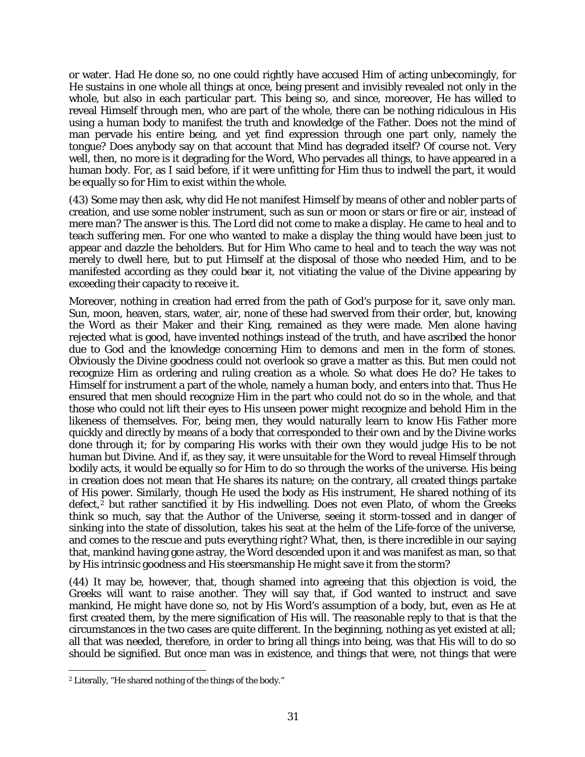or water. Had He done so, no one could rightly have accused Him of acting unbecomingly, for He sustains in one whole all things at once, being present and invisibly revealed not only in the whole, but also in each particular part. This being so, and since, moreover, He has willed to reveal Himself through men, who are part of the whole, there can be nothing ridiculous in His using a human body to manifest the truth and knowledge of the Father. Does not the mind of man pervade his entire being, and yet find expression through one part only, namely the tongue? Does anybody say on that account that Mind has degraded itself? Of course not. Very well, then, no more is it degrading for the Word, Who pervades all things, to have appeared in a human body. For, as I said before, if it were unfitting for Him thus to indwell the part, it would be equally so for Him to exist within the whole.

(43) Some may then ask, why did He not manifest Himself by means of other and nobler parts of creation, and use some nobler instrument, such as sun or moon or stars or fire or air, instead of mere man? The answer is this. The Lord did not come to make a display. He came to heal and to teach suffering men. For one who wanted to make a display the thing would have been just to appear and dazzle the beholders. But for Him Who came to heal and to teach the way was not merely to dwell here, but to put Himself at the disposal of those who needed Him, and to be manifested according as they could bear it, not vitiating the value of the Divine appearing by exceeding their capacity to receive it.

Moreover, nothing in creation had erred from the path of God's purpose for it, save only man. Sun, moon, heaven, stars, water, air, none of these had swerved from their order, but, knowing the Word as their Maker and their King, remained as they were made. Men alone having rejected what is good, have invented nothings instead of the truth, and have ascribed the honor due to God and the knowledge concerning Him to demons and men in the form of stones. Obviously the Divine goodness could not overlook so grave a matter as this. But men could not recognize Him as ordering and ruling creation as a whole. So what does He do? He takes to Himself for instrument a part of the whole, namely a human body, and enters into that. Thus He ensured that men should recognize Him in the part who could not do so in the whole, and that those who could not lift their eyes to His unseen power might recognize and behold Him in the likeness of themselves. For, being men, they would naturally learn to know His Father more quickly and directly by means of a body that corresponded to their own and by the Divine works done through it; for by comparing His works with their own they would judge His to be not human but Divine. And if, as they say, it were unsuitable for the Word to reveal Himself through bodily acts, it would be equally so for Him to do so through the works of the universe. His being in creation does not mean that He shares its nature; on the contrary, all created things partake of His power. Similarly, though He used the body as His instrument, He shared nothing of its defect, $\overline{z}$  but rather sanctified it by His indwelling. Does not even Plato, of whom the Greeks think so much, say that the Author of the Universe, seeing it storm-tossed and in danger of sinking into the state of dissolution, takes his seat at the helm of the Life-force of the universe, and comes to the rescue and puts everything right? What, then, is there incredible in our saying that, mankind having gone astray, the Word descended upon it and was manifest as man, so that by His intrinsic goodness and His steersmanship He might save it from the storm?

(44) It may be, however, that, though shamed into agreeing that this objection is void, the Greeks will want to raise another. They will say that, if God wanted to instruct and save mankind, He might have done so, not by His Word's assumption of a body, but, even as He at first created them, by the mere signification of His will. The reasonable reply to that is that the circumstances in the two cases are quite different. In the beginning, nothing as yet existed at all; all that was needed, therefore, in order to bring all things into being, was that His will to do so should be signified. But once man was in existence, and things that were, not things that were

<span id="page-30-0"></span> $\overline{a}$ 2 Literally, "He shared nothing of the things of the body."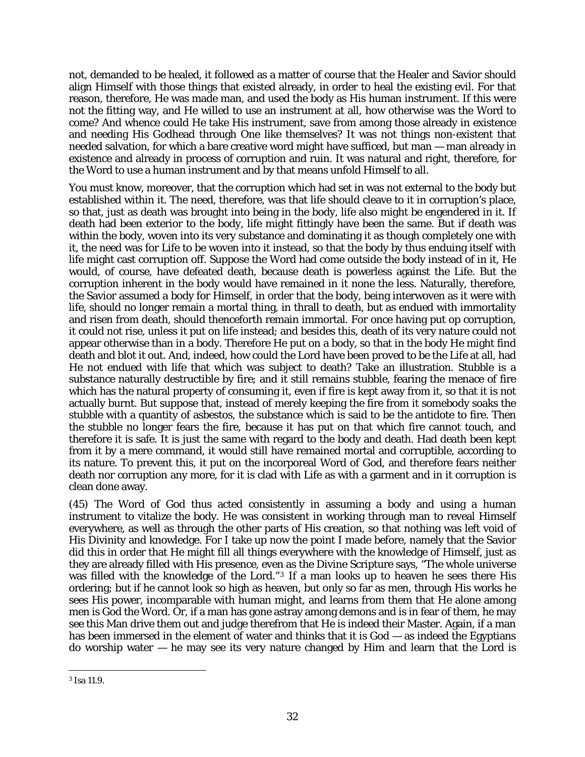not, demanded to be healed, it followed as a matter of course that the Healer and Savior should align Himself with those things that existed already, in order to heal the existing evil. For that reason, therefore, He was made man, and used the body as His human instrument. If this were not the fitting way, and He willed to use an instrument at all, how otherwise was the Word to come? And whence could He take His instrument, save from among those already in existence and needing His Godhead through One like themselves? It was not things non-existent that needed salvation, for which a bare creative word might have sufficed, but man — man already in existence and already in process of corruption and ruin. It was natural and right, therefore, for the Word to use a human instrument and by that means unfold Himself to all.

You must know, moreover, that the corruption which had set in was not external to the body but established within it. The need, therefore, was that life should cleave to it in corruption's place, so that, just as death was brought into being in the body, life also might be engendered in it. If death had been exterior to the body, life might fittingly have been the same. But if death was within the body, woven into its very substance and dominating it as though completely one with it, the need was for Life to be woven into it instead, so that the body by thus enduing itself with life might cast corruption off. Suppose the Word had come outside the body instead of in it, He would, of course, have defeated death, because death is powerless against the Life. But the corruption inherent in the body would have remained in it none the less. Naturally, therefore, the Savior assumed a body for Himself, in order that the body, being interwoven as it were with life, should no longer remain a mortal thing, in thrall to death, but as endued with immortality and risen from death, should thenceforth remain immortal. For once having put op corruption, it could not rise, unless it put on life instead; and besides this, death of its very nature could not appear otherwise than in a body. Therefore He put on a body, so that in the body He might find death and blot it out. And, indeed, how could the Lord have been proved to be the Life at all, had He not endued with life that which was subject to death? Take an illustration. Stubble is a substance naturally destructible by fire; and it still remains stubble, fearing the menace of fire which has the natural property of consuming it, even if fire is kept away from it, so that it is not actually burnt. But suppose that, instead of merely keeping the fire from it somebody soaks the stubble with a quantity of asbestos, the substance which is said to be the antidote to fire. Then the stubble no longer fears the fire, because it has put on that which fire cannot touch, and therefore it is safe. It is just the same with regard to the body and death. Had death been kept from it by a mere command, it would still have remained mortal and corruptible, according to its nature. To prevent this, it put on the incorporeal Word of God, and therefore fears neither death nor corruption any more, for it is clad with Life as with a garment and in it corruption is clean done away.

(45) The Word of God thus acted consistently in assuming a body and using a human instrument to vitalize the body. He was consistent in working through man to reveal Himself everywhere, as well as through the other parts of His creation, so that nothing was left void of His Divinity and knowledge. For I take up now the point I made before, namely that the Savior did this in order that He might fill all things everywhere with the knowledge of Himself, just as they are already filled with His presence, even as the Divine Scripture says, "The whole universe was filled with the knowledge of the Lord."<sup>[3](#page-31-0)</sup> If a man looks up to heaven he sees there His ordering; but if he cannot look so high as heaven, but only so far as men, through His works he sees His power, incomparable with human might, and learns from them that He alone among men is God the Word. Or, if a man has gone astray among demons and is in fear of them, he may see this Man drive them out and judge therefrom that He is indeed their Master. Again, if a man has been immersed in the element of water and thinks that it is God — as indeed the Egyptians do worship water — he may see its very nature changed by Him and learn that the Lord is

<span id="page-31-0"></span><sup>&</sup>lt;u>.</u> 3 Isa 11.9.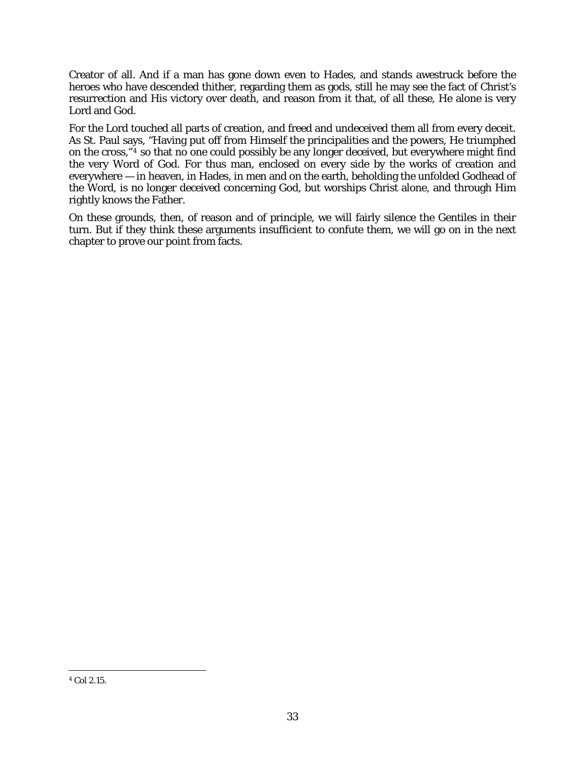Creator of all. And if a man has gone down even to Hades, and stands awestruck before the heroes who have descended thither, regarding them as gods, still he may see the fact of Christ's resurrection and His victory over death, and reason from it that, of all these, He alone is very Lord and God.

For the Lord touched all parts of creation, and freed and undeceived them all from every deceit. As St. Paul says, "Having put off from Himself the principalities and the powers, He triumphed on the cross,"[4](#page-32-0) so that no one could possibly be any longer deceived, but everywhere might find the very Word of God. For thus man, enclosed on every side by the works of creation and everywhere — in heaven, in Hades, in men and on the earth, beholding the unfolded Godhead of the Word, is no longer deceived concerning God, but worships Christ alone, and through Him rightly knows the Father.

On these grounds, then, of reason and of principle, we will fairly silence the Gentiles in their turn. But if they think these arguments insufficient to confute them, we will go on in the next chapter to prove our point from facts.

<u>.</u>

<span id="page-32-0"></span><sup>4</sup> Col 2.15.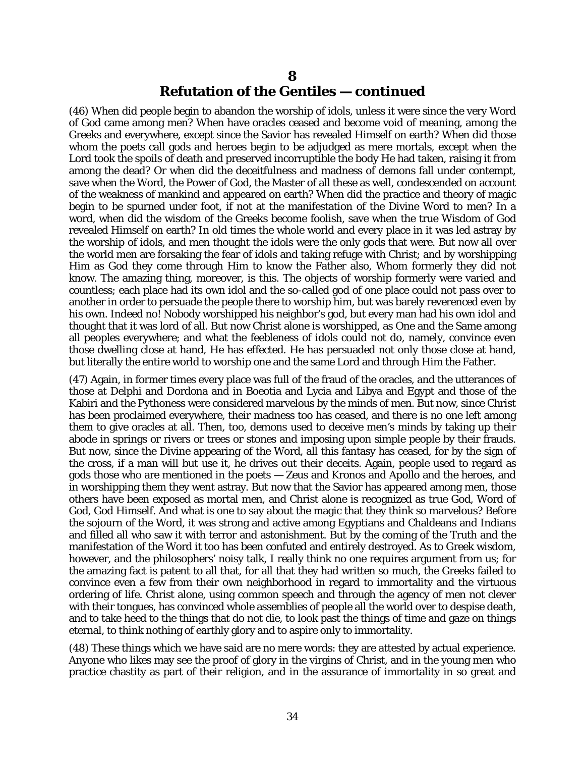# **8 Refutation of the Gentiles —** *continued*

<span id="page-33-0"></span>(46) When did people begin to abandon the worship of idols, unless it were since the very Word of God came among men? When have oracles ceased and become void of meaning, among the Greeks and everywhere, except since the Savior has revealed Himself on earth? When did those whom the poets call gods and heroes begin to be adjudged as mere mortals, except when the Lord took the spoils of death and preserved incorruptible the body He had taken, raising it from among the dead? Or when did the deceitfulness and madness of demons fall under contempt, save when the Word, the Power of God, the Master of all these as well, condescended on account of the weakness of mankind and appeared on earth? When did the practice and theory of magic begin to be spurned under foot, if not at the manifestation of the Divine Word to men? In a word, when did the wisdom of the Greeks become foolish, save when the true Wisdom of God revealed Himself on earth? In old times the whole world and every place in it was led astray by the worship of idols, and men thought the idols were the only gods that were. But now all over the world men are forsaking the fear of idols and taking refuge with Christ; and by worshipping Him as God they come through Him to know the Father also, Whom formerly they did not know. The amazing thing, moreover, is this. The objects of worship formerly were varied and countless; each place had its own idol and the so-called god of one place could not pass over to another in order to persuade the people there to worship him, but was barely reverenced even by his own. Indeed no! Nobody worshipped his neighbor's god, but every man had his own idol and thought that it was lord of all. But now Christ alone is worshipped, as One and the Same among all peoples everywhere; and what the feebleness of idols could not do, namely, convince even those dwelling close at hand, He has effected. He has persuaded not only those close at hand, but literally the entire world to worship one and the same Lord and through Him the Father.

(47) Again, in former times every place was full of the fraud of the oracles, and the utterances of those at Delphi and Dordona and in Boeotia and Lycia and Libya and Egypt and those of the Kabiri and the Pythoness were considered marvelous by the minds of men. But now, since Christ has been proclaimed everywhere, their madness too has ceased, and there is no one left among them to give oracles at all. Then, too, demons used to deceive men's minds by taking up their abode in springs or rivers or trees or stones and imposing upon simple people by their frauds. But now, since the Divine appearing of the Word, all this fantasy has ceased, for by the sign of the cross, if a man will but use it, he drives out their deceits. Again, people used to regard as gods those who are mentioned in the poets — Zeus and Kronos and Apollo and the heroes, and in worshipping them they went astray. But now that the Savior has appeared among men, those others have been exposed as mortal men, and Christ alone is recognized as true God, Word of God, God Himself. And what is one to say about the magic that they think so marvelous? Before the sojourn of the Word, it was strong and active among Egyptians and Chaldeans and Indians and filled all who saw it with terror and astonishment. But by the coming of the Truth and the manifestation of the Word it too has been confuted and entirely destroyed. As to Greek wisdom, however, and the philosophers' noisy talk, I really think no one requires argument from us; for the amazing fact is patent to all that, for all that they had written so much, the Greeks failed to convince even a few from their own neighborhood in regard to immortality and the virtuous ordering of life. Christ alone, using common speech and through the agency of men not clever with their tongues, has convinced whole assemblies of people all the world over to despise death, and to take heed to the things that do not die, to look past the things of time and gaze on things eternal, to think nothing of earthly glory and to aspire only to immortality.

(48) These things which we have said are no mere words: they are attested by actual experience. Anyone who likes may see the proof of glory in the virgins of Christ, and in the young men who practice chastity as part of their religion, and in the assurance of immortality in so great and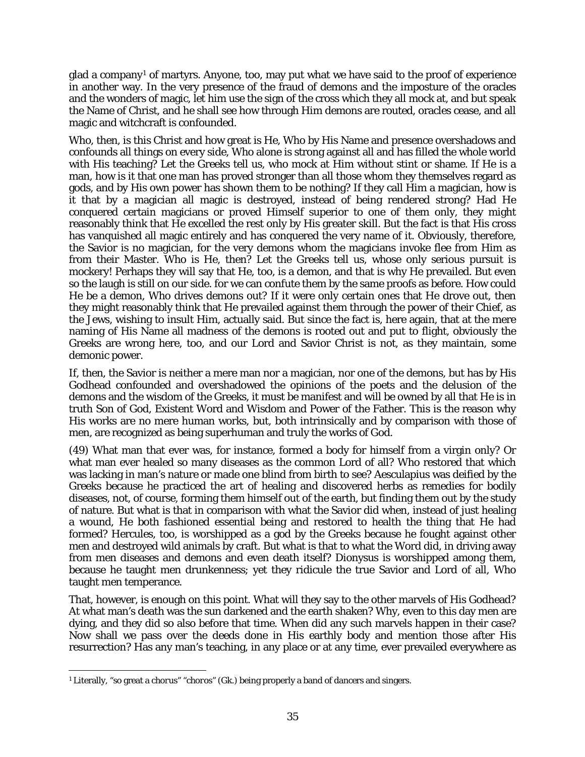glad a company<sup>[1](#page-34-0)</sup> of martyrs. Anyone, too, may put what we have said to the proof of experience in another way. In the very presence of the fraud of demons and the imposture of the oracles and the wonders of magic, let him use the sign of the cross which they all mock at, and but speak the Name of Christ, and he shall see how through Him demons are routed, oracles cease, and all magic and witchcraft is confounded.

Who, then, is this Christ and how great is He, Who by His Name and presence overshadows and confounds all things on every side, Who alone is strong against all and has filled the whole world with His teaching? Let the Greeks tell us, who mock at Him without stint or shame. If He is a man, how is it that one man has proved stronger than all those whom they themselves regard as gods, and by His own power has shown them to be nothing? If they call Him a magician, how is it that by a magician all magic is destroyed, instead of being rendered strong? Had He conquered certain magicians or proved Himself superior to one of them only, they might reasonably think that He excelled the rest only by His greater skill. But the fact is that His cross has vanquished all magic entirely and has conquered the very name of it. Obviously, therefore, the Savior is no magician, for the very demons whom the magicians invoke flee from Him as from their Master. Who is He, then? Let the Greeks tell us, whose only serious pursuit is mockery! Perhaps they will say that He, too, is a demon, and that is why He prevailed. But even so the laugh is still on our side. for we can confute them by the same proofs as before. How could He be a demon, Who drives demons out? If it were only certain ones that He drove out, then they might reasonably think that He prevailed against them through the power of their Chief, as the Jews, wishing to insult Him, actually said. But since the fact is, here again, that at the mere naming of His Name all madness of the demons is rooted out and put to flight, obviously the Greeks are wrong here, too, and our Lord and Savior Christ is not, as they maintain, some demonic power.

If, then, the Savior is neither a mere man nor a magician, nor one of the demons, but has by His Godhead confounded and overshadowed the opinions of the poets and the delusion of the demons and the wisdom of the Greeks, it must be manifest and will be owned by all that He is in truth Son of God, Existent Word and Wisdom and Power of the Father. This is the reason why His works are no mere human works, but, both intrinsically and by comparison with those of men, are recognized as being superhuman and truly the works of God.

(49) What man that ever was, for instance, formed a body for himself from a virgin only? Or what man ever healed so many diseases as the common Lord of all? Who restored that which was lacking in man's nature or made one blind from birth to see? Aesculapius was deified by the Greeks because he practiced the art of healing and discovered herbs as remedies for bodily diseases, not, of course, forming them himself out of the earth, but finding them out by the study of nature. But what is that in comparison with what the Savior did when, instead of just healing a wound, He both fashioned essential being and restored to health the thing that He had formed? Hercules, too, is worshipped as a god by the Greeks because he fought against other men and destroyed wild animals by craft. But what is that to what the Word did, in driving away from men diseases and demons and even death itself? Dionysus is worshipped among them, because he taught men drunkenness; yet they ridicule the true Savior and Lord of all, Who taught men temperance.

That, however, is enough on this point. What will they say to the other marvels of His Godhead? At what man's death was the sun darkened and the earth shaken? Why, even to this day men are dying, and they did so also before that time. When did any such marvels happen in their case? Now shall we pass over the deeds done in His earthly body and mention those after His resurrection? Has any man's teaching, in any place or at any time, ever prevailed everywhere as

<span id="page-34-0"></span> $\ddot{\phantom{a}}$ 1 Literally, "so great a *chorus*" "*choros*" (Gk.) being properly a band of dancers and singers.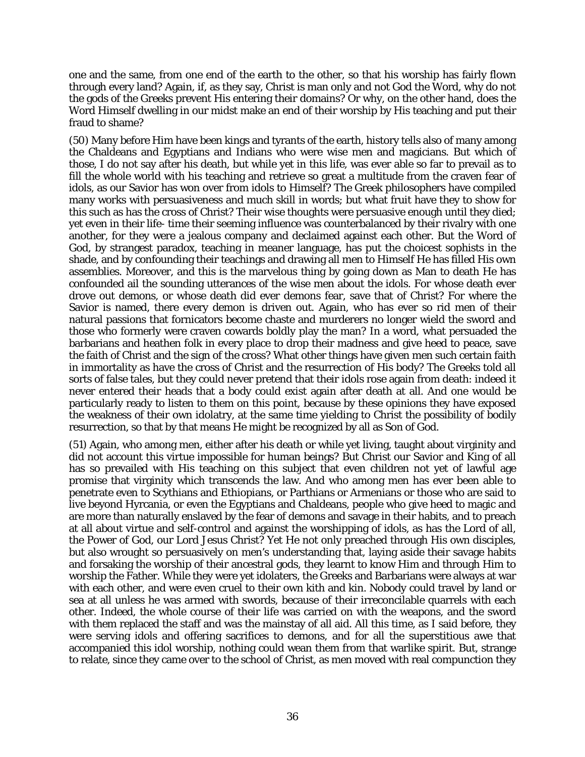one and the same, from one end of the earth to the other, so that his worship has fairly flown through every land? Again, if, as they say, Christ is man only and not God the Word, why do not the gods of the Greeks prevent His entering their domains? Or why, on the other hand, does the Word Himself dwelling in our midst make an end of their worship by His teaching and put their fraud to shame?

(50) Many before Him have been kings and tyrants of the earth, history tells also of many among the Chaldeans and Egyptians and Indians who were wise men and magicians. But which of those, I do not say after his death, but while yet in this life, was ever able so far to prevail as to fill the whole world with his teaching and retrieve so great a multitude from the craven fear of idols, as our Savior has won over from idols to Himself? The Greek philosophers have compiled many works with persuasiveness and much skill in words; but what fruit have they to show for this such as has the cross of Christ? Their wise thoughts were persuasive enough until they died; yet even in their life- time their seeming influence was counterbalanced by their rivalry with one another, for they were a jealous company and declaimed against each other. But the Word of God, by strangest paradox, teaching in meaner language, has put the choicest sophists in the shade, and by confounding their teachings and drawing all men to Himself He has filled His own assemblies. Moreover, and this is the marvelous thing by going down as Man to death He has confounded ail the sounding utterances of the wise men about the idols. For whose death ever drove out demons, or whose death did ever demons fear, save that of Christ? For where the Savior is named, there every demon is driven out. Again, who has ever so rid men of their natural passions that fornicators become chaste and murderers no longer wield the sword and those who formerly were craven cowards boldly play the man? In a word, what persuaded the barbarians and heathen folk in every place to drop their madness and give heed to peace, save the faith of Christ and the sign of the cross? What other things have given men such certain faith in immortality as have the cross of Christ and the resurrection of His body? The Greeks told all sorts of false tales, but they could never pretend that their idols rose again from death: indeed it never entered their heads that a body could exist again after death at all. And one would be particularly ready to listen to them on this point, because by these opinions they have exposed the weakness of their own idolatry, at the same time yielding to Christ the possibility of bodily resurrection, so that by that means He might be recognized by all as Son of God.

(51) Again, who among men, either after his death or while yet living, taught about virginity and did not account this virtue impossible for human beings? But Christ our Savior and King of all has so prevailed with His teaching on this subject that even children not yet of lawful age promise that virginity which transcends the law. And who among men has ever been able to penetrate even to Scythians and Ethiopians, or Parthians or Armenians or those who are said to live beyond Hyrcania, or even the Egyptians and Chaldeans, people who give heed to magic and are more than naturally enslaved by the fear of demons and savage in their habits, and to preach at all about virtue and self-control and against the worshipping of idols, as has the Lord of all, the Power of God, our Lord Jesus Christ? Yet He not only preached through His own disciples, but also wrought so persuasively on men's understanding that, laying aside their savage habits and forsaking the worship of their ancestral gods, they learnt to know Him and through Him to worship the Father. While they were yet idolaters, the Greeks and Barbarians were always at war with each other, and were even cruel to their own kith and kin. Nobody could travel by land or sea at all unless he was armed with swords, because of their irreconcilable quarrels with each other. Indeed, the whole course of their life was carried on with the weapons, and the sword with them replaced the staff and was the mainstay of all aid. All this time, as I said before, they were serving idols and offering sacrifices to demons, and for all the superstitious awe that accompanied this idol worship, nothing could wean them from that warlike spirit. But, strange to relate, since they came over to the school of Christ, as men moved with real compunction they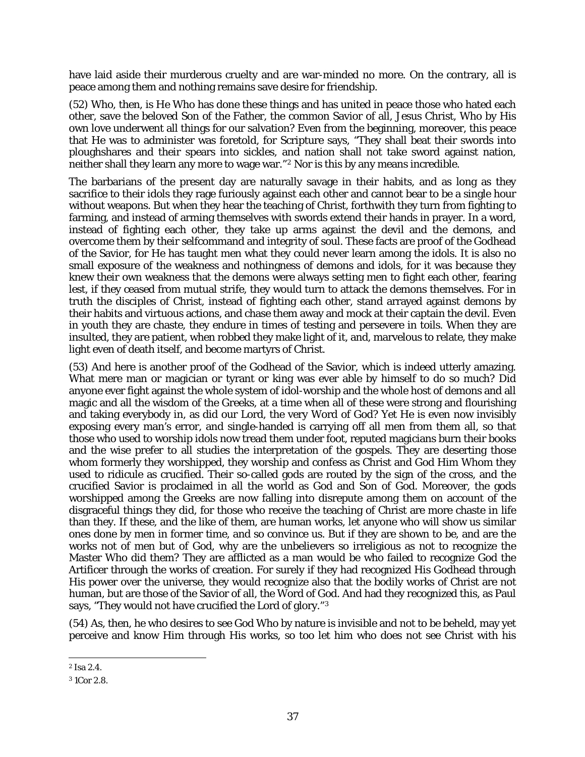have laid aside their murderous cruelty and are war-minded no more. On the contrary, all is peace among them and nothing remains save desire for friendship.

(52) Who, then, is He Who has done these things and has united in peace those who hated each other, save the beloved Son of the Father, the common Savior of all, Jesus Christ, Who by His own love underwent all things for our salvation? Even from the beginning, moreover, this peace that He was to administer was foretold, for Scripture says, "They shall beat their swords into ploughshares and their spears into sickles, and nation shall not take sword against nation, neither shall they learn any more to wage war."[2](#page-36-0) Nor is this by any means incredible.

The barbarians of the present day are naturally savage in their habits, and as long as they sacrifice to their idols they rage furiously against each other and cannot bear to be a single hour without weapons. But when they hear the teaching of Christ, forthwith they turn from fighting to farming, and instead of arming themselves with swords extend their hands in prayer. In a word, instead of fighting each other, they take up arms against the devil and the demons, and overcome them by their selfcommand and integrity of soul. These facts are proof of the Godhead of the Savior, for He has taught men what they could never learn among the idols. It is also no small exposure of the weakness and nothingness of demons and idols, for it was because they knew their own weakness that the demons were always setting men to fight each other, fearing lest, if they ceased from mutual strife, they would turn to attack the demons themselves. For in truth the disciples of Christ, instead of fighting each other, stand arrayed against demons by their habits and virtuous actions, and chase them away and mock at their captain the devil. Even in youth they are chaste, they endure in times of testing and persevere in toils. When they are insulted, they are patient, when robbed they make light of it, and, marvelous to relate, they make light even of death itself, and become martyrs of Christ.

(53) And here is another proof of the Godhead of the Savior, which is indeed utterly amazing. What mere man or magician or tyrant or king was ever able by himself to do so much? Did anyone ever fight against the whole system of idol-worship and the whole host of demons and all magic and all the wisdom of the Greeks, at a time when all of these were strong and flourishing and taking everybody in, as did our Lord, the very Word of God? Yet He is even now invisibly exposing every man's error, and single-handed is carrying off all men from them all, so that those who used to worship idols now tread them under foot, reputed magicians burn their books and the wise prefer to all studies the interpretation of the gospels. They are deserting those whom formerly they worshipped, they worship and confess as Christ and God Him Whom they used to ridicule as crucified. Their so-called gods are routed by the sign of the cross, and the crucified Savior is proclaimed in all the world as God and Son of God. Moreover, the gods worshipped among the Greeks are now falling into disrepute among them on account of the disgraceful things they did, for those who receive the teaching of Christ are more chaste in life than they. If these, and the like of them, are human works, let anyone who will show us similar ones done by men in former time, and so convince us. But if they are shown to be, and are the works not of men but of God, why are the unbelievers so irreligious as not to recognize the Master Who did them? They are afflicted as a man would be who failed to recognize God the Artificer through the works of creation. For surely if they had recognized His Godhead through His power over the universe, they would recognize also that the bodily works of Christ are not human, but are those of the Savior of all, the Word of God. And had they recognized this, as Paul says, "They would not have crucified the Lord of glory."[3](#page-36-1)

(54) As, then, he who desires to see God Who by nature is invisible and not to be beheld, may yet perceive and know Him through His works, so too let him who does not see Christ with his

<span id="page-36-0"></span> $\overline{a}$ 2 Isa 2.4.

<span id="page-36-1"></span><sup>3 1</sup>Cor 2.8.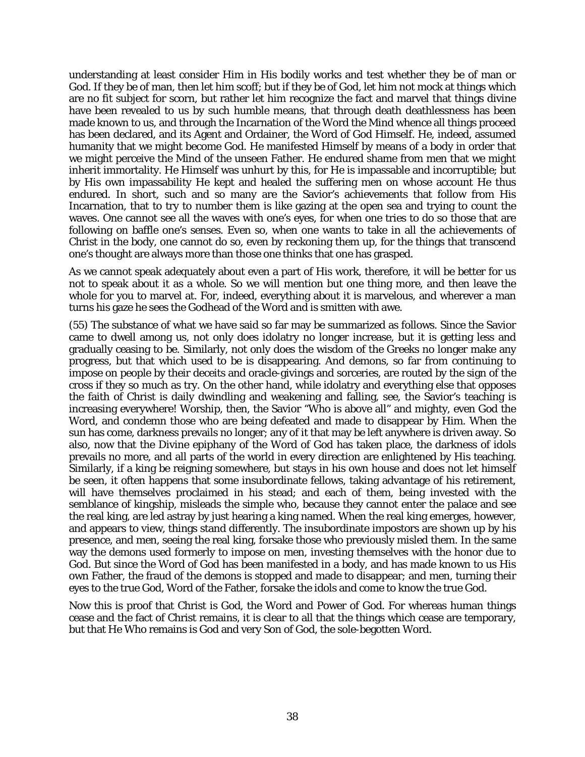understanding at least consider Him in His bodily works and test whether they be of man or God. If they be of man, then let him scoff; but if they be of God, let him not mock at things which are no fit subject for scorn, but rather let him recognize the fact and marvel that things divine have been revealed to us by such humble means, that through death deathlessness has been made known to us, and through the Incarnation of the Word the Mind whence all things proceed has been declared, and its Agent and Ordainer, the Word of God Himself. He, indeed, assumed humanity that we might become God. He manifested Himself by means of a body in order that we might perceive the Mind of the unseen Father. He endured shame from men that we might inherit immortality. He Himself was unhurt by this, for He is impassable and incorruptible; but by His own impassability He kept and healed the suffering men on whose account He thus endured. In short, such and so many are the Savior's achievements that follow from His Incarnation, that to try to number them is like gazing at the open sea and trying to count the waves. One cannot see all the waves with one's eyes, for when one tries to do so those that are following on baffle one's senses. Even so, when one wants to take in all the achievements of Christ in the body, one cannot do so, even by reckoning them up, for the things that transcend one's thought are always more than those one thinks that one has grasped.

As we cannot speak adequately about even a part of His work, therefore, it will be better for us not to speak about it as a whole. So we will mention but one thing more, and then leave the whole for you to marvel at. For, indeed, everything about it is marvelous, and wherever a man turns his gaze he sees the Godhead of the Word and is smitten with awe.

(55) The substance of what we have said so far may be summarized as follows. Since the Savior came to dwell among us, not only does idolatry no longer increase, but it is getting less and gradually ceasing to be. Similarly, not only does the wisdom of the Greeks no longer make any progress, but that which used to be is disappearing. And demons, so far from continuing to impose on people by their deceits and oracle-givings and sorceries, are routed by the sign of the cross if they so much as try. On the other hand, while idolatry and everything else that opposes the faith of Christ is daily dwindling and weakening and falling, see, the Savior's teaching is increasing everywhere! Worship, then, the Savior "Who is above all" and mighty, even God the Word, and condemn those who are being defeated and made to disappear by Him. When the sun has come, darkness prevails no longer; any of it that may be left anywhere is driven away. So also, now that the Divine epiphany of the Word of God has taken place, the darkness of idols prevails no more, and all parts of the world in every direction are enlightened by His teaching. Similarly, if a king be reigning somewhere, but stays in his own house and does not let himself be seen, it often happens that some insubordinate fellows, taking advantage of his retirement, will have themselves proclaimed in his stead; and each of them, being invested with the semblance of kingship, misleads the simple who, because they cannot enter the palace and see the real king, are led astray by just hearing a king named. When the real king emerges, however, and appears to view, things stand differently. The insubordinate impostors are shown up by his presence, and men, seeing the real king, forsake those who previously misled them. In the same way the demons used formerly to impose on men, investing themselves with the honor due to God. But since the Word of God has been manifested in a body, and has made known to us His own Father, the fraud of the demons is stopped and made to disappear; and men, turning their eyes to the true God, Word of the Father, forsake the idols and come to know the true God.

Now this is proof that Christ is God, the Word and Power of God. For whereas human things cease and the fact of Christ remains, it is clear to all that the things which cease are temporary, but that He Who remains is God and very Son of God, the sole-begotten Word.